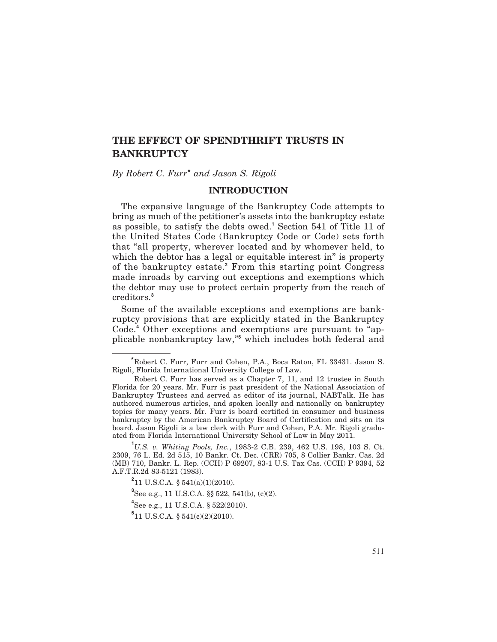# **THE EFFECT OF SPENDTHRIFT TRUSTS IN BANKRUPTCY**

*By Robert C. Furr***\*** *and Jason S. Rigoli*

#### **INTRODUCTION**

The expansive language of the Bankruptcy Code attempts to bring as much of the petitioner's assets into the bankruptcy estate as possible, to satisfy the debts owed.**<sup>1</sup>** Section 541 of Title 11 of the United States Code (Bankruptcy Code or Code) sets forth that "all property, wherever located and by whomever held, to which the debtor has a legal or equitable interest in" is property of the bankruptcy estate.**<sup>2</sup>** From this starting point Congress made inroads by carving out exceptions and exemptions which the debtor may use to protect certain property from the reach of creditors.**<sup>3</sup>**

Some of the available exceptions and exemptions are bankruptcy provisions that are explicitly stated in the Bankruptcy Code.**<sup>4</sup>** Other exceptions and exemptions are pursuant to "applicable nonbankruptcy law,"**<sup>5</sup>** which includes both federal and

**<sup>\*</sup>**Robert C. Furr, Furr and Cohen, P.A., Boca Raton, FL 33431. Jason S. Rigoli, Florida International University College of Law.

Robert C. Furr has served as a Chapter 7, 11, and 12 trustee in South Florida for 20 years. Mr. Furr is past president of the National Association of Bankruptcy Trustees and served as editor of its journal, NABTalk. He has authored numerous articles, and spoken locally and nationally on bankruptcy topics for many years. Mr. Furr is board certified in consumer and business bankruptcy by the American Bankruptcy Board of Certification and sits on its board. Jason Rigoli is a law clerk with Furr and Cohen, P.A. Mr. Rigoli graduated from Florida International University School of Law in May 2011.

**<sup>1</sup>** *U.S. v. Whiting Pools, Inc.*, 1983-2 C.B. 239, 462 U.S. 198, 103 S. Ct. 2309, 76 L. Ed. 2d 515, 10 Bankr. Ct. Dec. (CRR) 705, 8 Collier Bankr. Cas. 2d (MB) 710, Bankr. L. Rep. (CCH) P 69207, 83-1 U.S. Tax Cas. (CCH) P 9394, 52 A.F.T.R.2d 83-5121 (1983).

**<sup>2</sup>** 11 U.S.C.A. § 541(a)(1)(2010).

**<sup>3</sup>** See e.g., 11 U.S.C.A. §§ 522, 541(b), (c)(2).

**<sup>4</sup>** See e.g., 11 U.S.C.A. § 522(2010).

 $5$ 11 U.S.C.A. § 541(c)(2)(2010).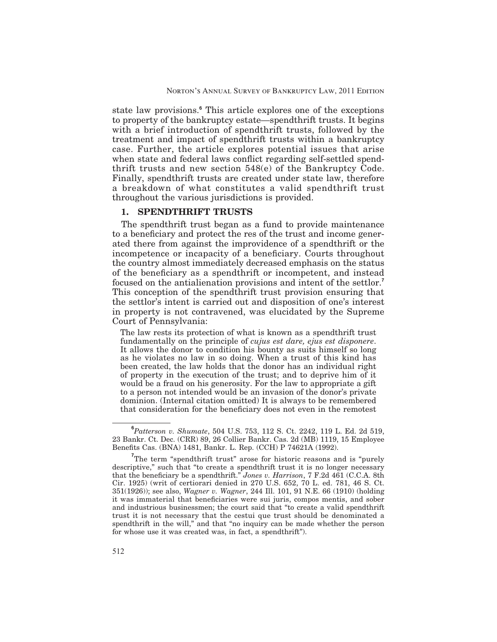state law provisions.**<sup>6</sup>** This article explores one of the exceptions to property of the bankruptcy estate—spendthrift trusts. It begins with a brief introduction of spendthrift trusts, followed by the treatment and impact of spendthrift trusts within a bankruptcy case. Further, the article explores potential issues that arise when state and federal laws conflict regarding self-settled spendthrift trusts and new section 548(e) of the Bankruptcy Code. Finally, spendthrift trusts are created under state law, therefore a breakdown of what constitutes a valid spendthrift trust throughout the various jurisdictions is provided.

### **1. SPENDTHRIFT TRUSTS**

The spendthrift trust began as a fund to provide maintenance to a beneficiary and protect the res of the trust and income generated there from against the improvidence of a spendthrift or the incompetence or incapacity of a beneficiary. Courts throughout the country almost immediately decreased emphasis on the status of the beneficiary as a spendthrift or incompetent, and instead focused on the antialienation provisions and intent of the settlor.**<sup>7</sup>** This conception of the spendthrift trust provision ensuring that the settlor's intent is carried out and disposition of one's interest in property is not contravened, was elucidated by the Supreme Court of Pennsylvania:

The law rests its protection of what is known as a spendthrift trust fundamentally on the principle of *cujus est dare, ejus est disponere*. It allows the donor to condition his bounty as suits himself so long as he violates no law in so doing. When a trust of this kind has been created, the law holds that the donor has an individual right of property in the execution of the trust; and to deprive him of it would be a fraud on his generosity. For the law to appropriate a gift to a person not intended would be an invasion of the donor's private dominion. (Internal citation omitted) It is always to be remembered that consideration for the beneficiary does not even in the remotest

**<sup>6</sup>** *Patterson v. Shumate*, 504 U.S. 753, 112 S. Ct. 2242, 119 L. Ed. 2d 519, 23 Bankr. Ct. Dec. (CRR) 89, 26 Collier Bankr. Cas. 2d (MB) 1119, 15 Employee Benefits Cas. (BNA) 1481, Bankr. L. Rep. (CCH) P 74621A (1992).

<sup>&</sup>lt;sup>7</sup>The term "spendthrift trust" arose for historic reasons and is "purely descriptive," such that "to create a spendthrift trust it is no longer necessary that the beneficiary be a spendthrift." *Jones v. Harrison*, 7 F.2d 461 (C.C.A. 8th Cir. 1925) (writ of certiorari denied in 270 U.S. 652, 70 L. ed. 781, 46 S. Ct. 351(1926)); see also, *Wagner v. Wagner*, 244 Ill. 101, 91 N.E. 66 (1910) (holding it was immaterial that beneficiaries were sui juris, compos mentis, and sober and industrious businessmen; the court said that "to create a valid spendthrift trust it is not necessary that the cestui que trust should be denominated a spendthrift in the will," and that "no inquiry can be made whether the person for whose use it was created was, in fact, a spendthrift").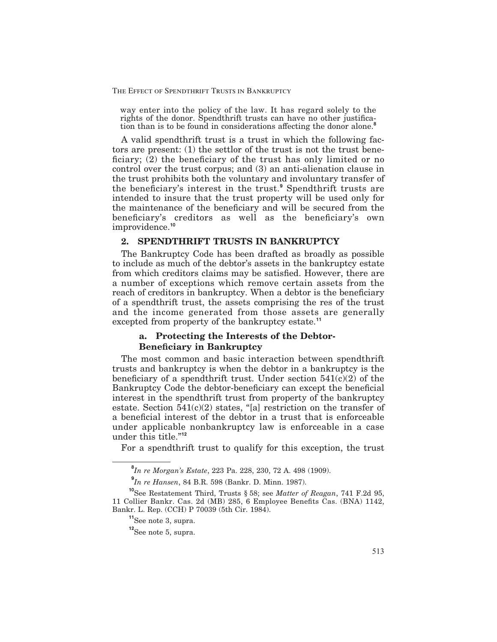way enter into the policy of the law. It has regard solely to the rights of the donor. Spendthrift trusts can have no other justification than is to be found in considerations affecting the donor alone.<sup>8</sup>

A valid spendthrift trust is a trust in which the following factors are present: (1) the settlor of the trust is not the trust bene ficiary;  $(2)$  the beneficiary of the trust has only limited or no control over the trust corpus; and (3) an anti-alienation clause in the trust prohibits both the voluntary and involuntary transfer of the beneficiary's interest in the trust.<sup>9</sup> Spendthrift trusts are intended to insure that the trust property will be used only for the maintenance of the beneficiary and will be secured from the beneficiary's creditors as well as the beneficiary's own improvidence.**<sup>10</sup>**

# **2. SPENDTHRIFT TRUSTS IN BANKRUPTCY**

The Bankruptcy Code has been drafted as broadly as possible to include as much of the debtor's assets in the bankruptcy estate from which creditors claims may be satisfied. However, there are a number of exceptions which remove certain assets from the reach of creditors in bankruptcy. When a debtor is the beneficiary of a spendthrift trust, the assets comprising the res of the trust and the income generated from those assets are generally excepted from property of the bankruptcy estate.**<sup>11</sup>**

# **a. Protecting the Interests of the Debtor-Beneficiary in Bankruptcy**

The most common and basic interaction between spendthrift trusts and bankruptcy is when the debtor in a bankruptcy is the beneficiary of a spendthrift trust. Under section  $541(c)(2)$  of the Bankruptcy Code the debtor-beneficiary can except the beneficial interest in the spendthrift trust from property of the bankruptcy estate. Section  $541(c)(2)$  states, "[a] restriction on the transfer of a beneficial interest of the debtor in a trust that is enforceable under applicable nonbankruptcy law is enforceable in a case under this title."**<sup>12</sup>**

For a spendthrift trust to qualify for this exception, the trust

**<sup>8</sup>** *In re Morgan's Estate*, 223 Pa. 228, 230, 72 A. 498 (1909).

**<sup>9</sup>** *In re Hansen*, 84 B.R. 598 (Bankr. D. Minn. 1987).

**<sup>10</sup>**See Restatement Third, Trusts § 58; see *Matter of Reagan*, 741 F.2d 95, 11 Collier Bankr. Cas. 2d (MB) 285, 6 Employee Benets Cas. (BNA) 1142, Bankr. L. Rep. (CCH) P 70039 (5th Cir. 1984).

**<sup>11</sup>**See note 3, supra.

**<sup>12</sup>**See note 5, supra.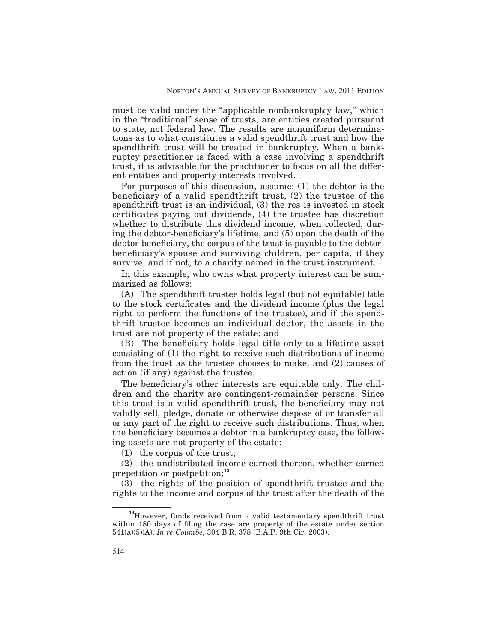must be valid under the "applicable nonbankruptcy law," which in the "traditional" sense of trusts, are entities created pursuant to state, not federal law. The results are nonuniform determinations as to what constitutes a valid spendthrift trust and how the spendthrift trust will be treated in bankruptcy. When a bankruptcy practitioner is faced with a case involving a spendthrift trust, it is advisable for the practitioner to focus on all the different entities and property interests involved.

For purposes of this discussion, assume: (1) the debtor is the beneficiary of a valid spendthrift trust,  $(2)$  the trustee of the spendthrift trust is an individual, (3) the res is invested in stock certificates paying out dividends, (4) the trustee has discretion whether to distribute this dividend income, when collected, during the debtor-beneficiary's lifetime, and  $(5)$  upon the death of the debtor-beneficiary, the corpus of the trust is payable to the debtorbeneficiary's spouse and surviving children, per capita, if they survive, and if not, to a charity named in the trust instrument.

In this example, who owns what property interest can be summarized as follows:

(A) The spendthrift trustee holds legal (but not equitable) title to the stock certificates and the dividend income (plus the legal right to perform the functions of the trustee), and if the spendthrift trustee becomes an individual debtor, the assets in the trust are not property of the estate; and

(B) The beneficiary holds legal title only to a lifetime asset consisting of (1) the right to receive such distributions of income from the trust as the trustee chooses to make, and (2) causes of action (if any) against the trustee.

The beneficiary's other interests are equitable only. The children and the charity are contingent-remainder persons. Since this trust is a valid spendthrift trust, the beneficiary may not validly sell, pledge, donate or otherwise dispose of or transfer all or any part of the right to receive such distributions. Thus, when the beneficiary becomes a debtor in a bankruptcy case, the following assets are not property of the estate:

(1) the corpus of the trust;

(2) the undistributed income earned thereon, whether earned prepetition or postpetition;**<sup>13</sup>**

(3) the rights of the position of spendthrift trustee and the rights to the income and corpus of the trust after the death of the

<sup>&</sup>lt;sup>13</sup>However, funds received from a valid testamentary spendthrift trust within 180 days of filing the case are property of the estate under section 541(a)(5)(A). *In re Coumbe*, 304 B.R. 378 (B.A.P. 9th Cir. 2003).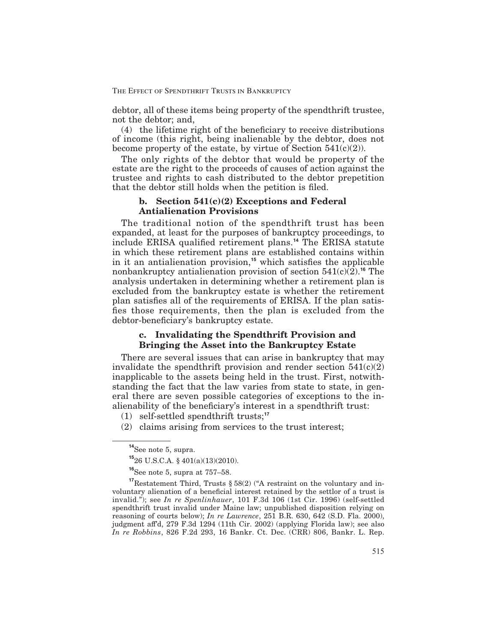debtor, all of these items being property of the spendthrift trustee, not the debtor; and,

 $(4)$  the lifetime right of the beneficiary to receive distributions of income (this right, being inalienable by the debtor, does not become property of the estate, by virtue of Section  $541(c)(2)$ ).

The only rights of the debtor that would be property of the estate are the right to the proceeds of causes of action against the trustee and rights to cash distributed to the debtor prepetition that the debtor still holds when the petition is filed.

# **b. Section 541(c)(2) Exceptions and Federal Antialienation Provisions**

The traditional notion of the spendthrift trust has been expanded, at least for the purposes of bankruptcy proceedings, to include ERISA qualified retirement plans.<sup>14</sup> The ERISA statute in which these retirement plans are established contains within in it an antialienation provision,<sup>15</sup> which satisfies the applicable nonbankruptcy antialienation provision of section 541(c)(2).**<sup>16</sup>** The analysis undertaken in determining whether a retirement plan is excluded from the bankruptcy estate is whether the retirement plan satisfies all of the requirements of ERISA. If the plan satisfies those requirements, then the plan is excluded from the debtor-beneficiary's bankruptcy estate.

# **c. Invalidating the Spendthrift Provision and Bringing the Asset into the Bankruptcy Estate**

There are several issues that can arise in bankruptcy that may invalidate the spendthrift provision and render section  $541(c)(2)$ inapplicable to the assets being held in the trust. First, notwithstanding the fact that the law varies from state to state, in general there are seven possible categories of exceptions to the inalienability of the beneficiary's interest in a spendthrift trust:

(1) self-settled spendthrift trusts;**<sup>17</sup>**

(2) claims arising from services to the trust interest;

**<sup>14</sup>**See note 5, supra.

**<sup>15</sup>**26 U.S.C.A. § 401(a)(13)(2010).

**<sup>16</sup>**See note 5, supra at 757–58.

**<sup>17</sup>**Restatement Third, Trusts § 58(2) ("A restraint on the voluntary and involuntary alienation of a beneficial interest retained by the settlor of a trust is invalid."); see *In re Spenlinhauer*, 101 F.3d 106 (1st Cir. 1996) (self-settled spendthrift trust invalid under Maine law; unpublished disposition relying on reasoning of courts below); *In re Lawrence*, 251 B.R. 630, 642 (S.D. Fla. 2000), judgment aff'd, 279 F.3d 1294 (11th Cir. 2002) (applying Florida law); see also *In re Robbins*, 826 F.2d 293, 16 Bankr. Ct. Dec. (CRR) 806, Bankr. L. Rep.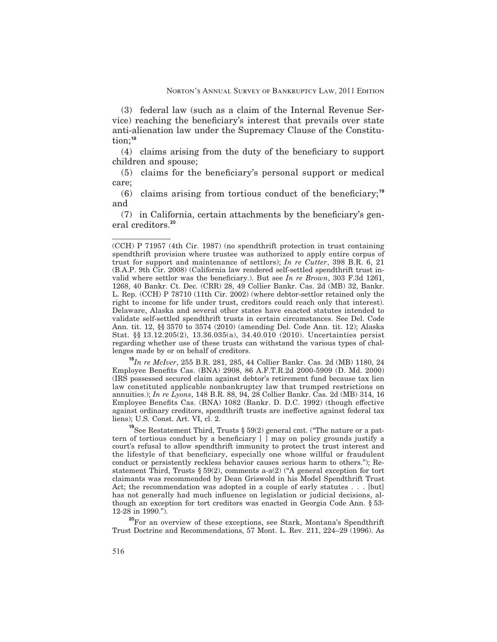(3) federal law (such as a claim of the Internal Revenue Service) reaching the beneficiary's interest that prevails over state anti-alienation law under the Supremacy Clause of the Constitution;**<sup>18</sup>**

 $(4)$  claims arising from the duty of the beneficiary to support children and spouse;

 $(5)$  claims for the beneficiary's personal support or medical care;

 $(6)$  claims arising from tortious conduct of the beneficiary;<sup>19</sup> and

 $(7)$  in California, certain attachments by the beneficiary's general creditors.**<sup>20</sup>**

**<sup>18</sup>***In re McIver*, 255 B.R. 281, 285, 44 Collier Bankr. Cas. 2d (MB) 1180, 24 Employee Benets Cas. (BNA) 2908, 86 A.F.T.R.2d 2000-5909 (D. Md. 2000) (IRS possessed secured claim against debtor's retirement fund because tax lien law constituted applicable nonbankruptcy law that trumped restrictions on annuities.); *In re Lyons*, 148 B.R. 88, 94, 28 Collier Bankr. Cas. 2d (MB) 314, 16 Employee Benefits Cas. (BNA) 1082 (Bankr. D. D.C. 1992) (though effective against ordinary creditors, spendthrift trusts are ineffective against federal tax liens); U.S. Const. Art. VI, cl. 2.

**<sup>19</sup>**See Restatement Third, Trusts § 59(2) general cmt. ("The nature or a pattern of tortious conduct by a beneficiary  $[ \ ]$  may on policy grounds justify a court's refusal to allow spendthrift immunity to protect the trust interest and the lifestyle of that beneficiary, especially one whose willful or fraudulent conduct or persistently reckless behavior causes serious harm to others."); Restatement Third, Trusts § 59(2), comments a-a(2) ("A general exception for tort claimants was recommended by Dean Griswold in his Model Spendthrift Trust Act; the recommendation was adopted in a couple of early statutes . . . [but] has not generally had much influence on legislation or judicial decisions, although an exception for tort creditors was enacted in Georgia Code Ann. § 53- 12-28 in 1990.").

**<sup>20</sup>**For an overview of these exceptions, see Stark, Montana's Spendthrift Trust Doctrine and Recommendations, 57 Mont. L. Rev. 211, 224–29 (1996). As

<sup>(</sup>CCH) P 71957 (4th Cir. 1987) (no spendthrift protection in trust containing spendthrift provision where trustee was authorized to apply entire corpus of trust for support and maintenance of settlors); *In re Cutter*, 398 B.R. 6, 21 (B.A.P. 9th Cir. 2008) (California law rendered self-settled spendthrift trust invalid where settlor was the beneficiary.). But see *In re Brown*, 303 F.3d 1261, 1268, 40 Bankr. Ct. Dec. (CRR) 28, 49 Collier Bankr. Cas. 2d (MB) 32, Bankr. L. Rep. (CCH) P 78710 (11th Cir. 2002) (where debtor-settlor retained only the right to income for life under trust, creditors could reach only that interest). Delaware, Alaska and several other states have enacted statutes intended to validate self-settled spendthrift trusts in certain circumstances. See Del. Code Ann. tit. 12, §§ 3570 to 3574 (2010) (amending Del. Code Ann. tit. 12); Alaska Stat. §§ 13.12.205(2), 13.36.035(a), 34.40.010 (2010). Uncertainties persist regarding whether use of these trusts can withstand the various types of challenges made by or on behalf of creditors.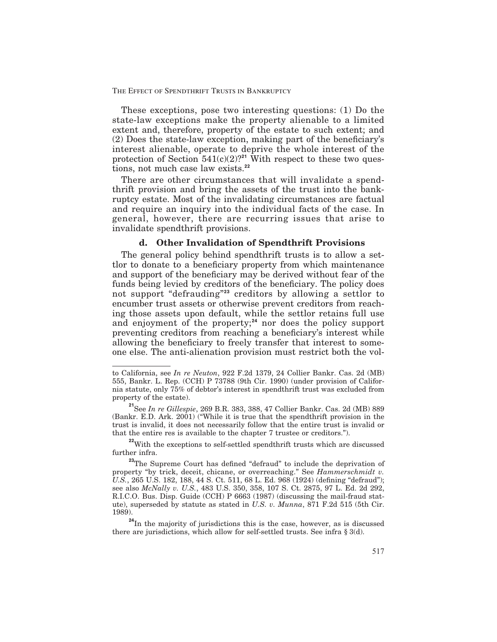THE EFFECT OF SPENDTHRIFT TRUSTS IN BANKRUPTCY

These exceptions, pose two interesting questions: (1) Do the state-law exceptions make the property alienable to a limited extent and, therefore, property of the estate to such extent; and  $(2)$  Does the state-law exception, making part of the beneficiary's interest alienable, operate to deprive the whole interest of the protection of Section  $541(c)(2)$ ?<sup>21</sup> With respect to these two questions, not much case law exists.**<sup>22</sup>**

There are other circumstances that will invalidate a spendthrift provision and bring the assets of the trust into the bankruptcy estate. Most of the invalidating circumstances are factual and require an inquiry into the individual facts of the case. In general, however, there are recurring issues that arise to invalidate spendthrift provisions.

# **d. Other Invalidation of Spendthrift Provisions**

The general policy behind spendthrift trusts is to allow a settlor to donate to a beneficiary property from which maintenance and support of the beneficiary may be derived without fear of the funds being levied by creditors of the beneficiary. The policy does not support "defrauding"**<sup>23</sup>** creditors by allowing a settlor to encumber trust assets or otherwise prevent creditors from reaching those assets upon default, while the settlor retains full use and enjoyment of the property;**<sup>24</sup>** nor does the policy support preventing creditors from reaching a beneficiary's interest while allowing the beneficiary to freely transfer that interest to someone else. The anti-alienation provision must restrict both the vol-

**<sup>22</sup>**With the exceptions to self-settled spendthrift trusts which are discussed further infra.

to California, see *In re Neuton*, 922 F.2d 1379, 24 Collier Bankr. Cas. 2d (MB) 555, Bankr. L. Rep. (CCH) P 73788 (9th Cir. 1990) (under provision of California statute, only 75% of debtor's interest in spendthrift trust was excluded from property of the estate).

**<sup>21</sup>**See *In re Gillespie*, 269 B.R. 383, 388, 47 Collier Bankr. Cas. 2d (MB) 889 (Bankr. E.D. Ark. 2001) ("While it is true that the spendthrift provision in the trust is invalid, it does not necessarily follow that the entire trust is invalid or that the entire res is available to the chapter 7 trustee or creditors.").

<sup>&</sup>lt;sup>23</sup>The Supreme Court has defined "defraud" to include the deprivation of property "by trick, deceit, chicane, or overreaching." See *Hammerschmidt v.* U.S., 265 U.S. 182, 188, 44 S. Ct. 511, 68 L. Ed. 968 (1924) (defining "defraud"); see also *McNally v. U.S.*, 483 U.S. 350, 358, 107 S. Ct. 2875, 97 L. Ed. 2d 292, R.I.C.O. Bus. Disp. Guide (CCH) P 6663 (1987) (discussing the mail-fraud statute), superseded by statute as stated in *U.S. v. Munna*, 871 F.2d 515 (5th Cir. 1989).

<sup>&</sup>lt;sup>24</sup>In the majority of jurisdictions this is the case, however, as is discussed there are jurisdictions, which allow for self-settled trusts. See infra  $\S 3(d)$ .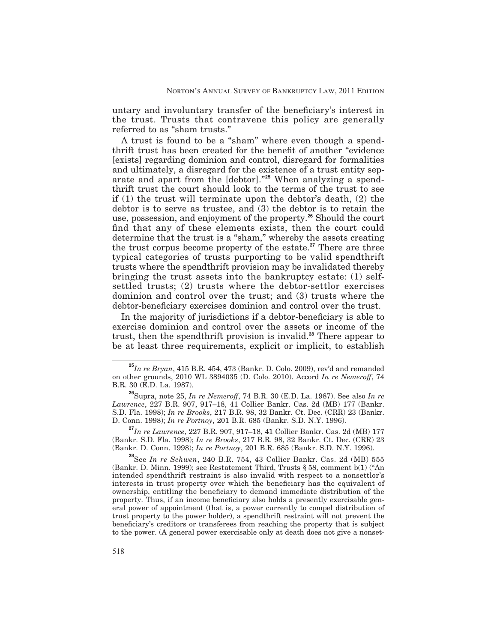untary and involuntary transfer of the beneficiary's interest in the trust. Trusts that contravene this policy are generally referred to as "sham trusts."

A trust is found to be a "sham" where even though a spendthrift trust has been created for the benefit of another "evidence" [exists] regarding dominion and control, disregard for formalities and ultimately, a disregard for the existence of a trust entity separate and apart from the [debtor]."**<sup>25</sup>** When analyzing a spendthrift trust the court should look to the terms of the trust to see if  $(1)$  the trust will terminate upon the debtor's death,  $(2)$  the debtor is to serve as trustee, and (3) the debtor is to retain the use, possession, and enjoyment of the property.**<sup>26</sup>** Should the court find that any of these elements exists, then the court could determine that the trust is a "sham," whereby the assets creating the trust corpus become property of the estate.**<sup>27</sup>** There are three typical categories of trusts purporting to be valid spendthrift trusts where the spendthrift provision may be invalidated thereby bringing the trust assets into the bankruptcy estate: (1) selfsettled trusts; (2) trusts where the debtor-settlor exercises dominion and control over the trust; and (3) trusts where the debtor-beneficiary exercises dominion and control over the trust.

In the majority of jurisdictions if a debtor-beneficiary is able to exercise dominion and control over the assets or income of the trust, then the spendthrift provision is invalid.**<sup>28</sup>** There appear to be at least three requirements, explicit or implicit, to establish

**<sup>27</sup>***In re Lawrence*, 227 B.R. 907, 917–18, 41 Collier Bankr. Cas. 2d (MB) 177 (Bankr. S.D. Fla. 1998); *In re Brooks*, 217 B.R. 98, 32 Bankr. Ct. Dec. (CRR) 23 (Bankr. D. Conn. 1998); *In re Portnoy*, 201 B.R. 685 (Bankr. S.D. N.Y. 1996).

**<sup>25</sup>***In re Bryan*, 415 B.R. 454, 473 (Bankr. D. Colo. 2009), rev'd and remanded on other grounds, 2010 WL 3894035 (D. Colo. 2010). Accord *In re Nemeroff*, 74 B.R. 30 (E.D. La. 1987).

<sup>&</sup>lt;sup>26</sup>Supra, note 25, *In re Nemeroff*, 74 B.R. 30 (E.D. La. 1987). See also *In re Lawrence*, 227 B.R. 907, 917–18, 41 Collier Bankr. Cas. 2d (MB) 177 (Bankr. S.D. Fla. 1998); *In re Brooks*, 217 B.R. 98, 32 Bankr. Ct. Dec. (CRR) 23 (Bankr. D. Conn. 1998); *In re Portnoy*, 201 B.R. 685 (Bankr. S.D. N.Y. 1996).

**<sup>28</sup>**See *In re Schwen*, 240 B.R. 754, 43 Collier Bankr. Cas. 2d (MB) 555 (Bankr. D. Minn. 1999); see Restatement Third, Trusts § 58, comment b(1) ("An intended spendthrift restraint is also invalid with respect to a nonsettlor's interests in trust property over which the beneficiary has the equivalent of ownership, entitling the beneficiary to demand immediate distribution of the property. Thus, if an income beneficiary also holds a presently exercisable general power of appointment (that is, a power currently to compel distribution of trust property to the power holder), a spendthrift restraint will not prevent the beneficiary's creditors or transferees from reaching the property that is subject to the power. (A general power exercisable only at death does not give a nonset-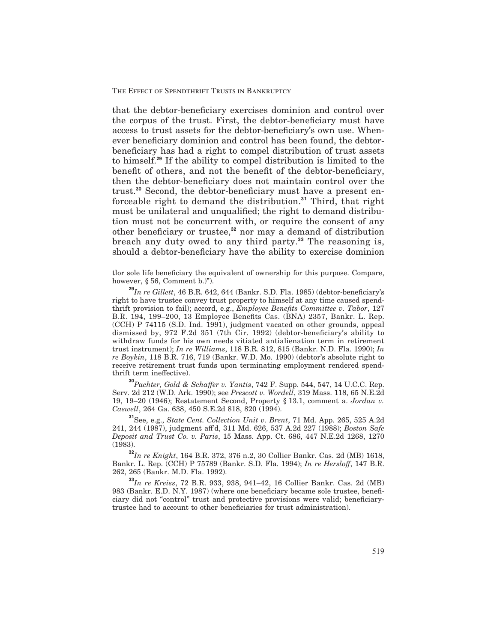that the debtor-beneficiary exercises dominion and control over the corpus of the trust. First, the debtor-beneficiary must have access to trust assets for the debtor-beneficiary's own use. Whenever beneficiary dominion and control has been found, the debtorbeneficiary has had a right to compel distribution of trust assets to himself.**<sup>29</sup>** If the ability to compel distribution is limited to the benefit of others, and not the benefit of the debtor-beneficiary, then the debtor-beneficiary does not maintain control over the trust.<sup>30</sup> Second, the debtor-beneficiary must have a present enforceable right to demand the distribution.**<sup>31</sup>** Third, that right must be unilateral and unqualified; the right to demand distribution must not be concurrent with, or require the consent of any other beneficiary or trustee,<sup>32</sup> nor may a demand of distribution breach any duty owed to any third party.**<sup>33</sup>** The reasoning is, should a debtor-beneficiary have the ability to exercise dominion

**<sup>30</sup>***Pachter, Gold & Schaer v. Yantis*, 742 F. Supp. 544, 547, 14 U.C.C. Rep. Serv. 2d 212 (W.D. Ark. 1990); see *Prescott v. Wordell*, 319 Mass. 118, 65 N.E.2d 19, 19–20 (1946); Restatement Second, Property § 13.1, comment a. *Jordan v. Caswell*, 264 Ga. 638, 450 S.E.2d 818, 820 (1994).

tlor sole life beneficiary the equivalent of ownership for this purpose. Compare, however, § 56, Comment b.)").

**<sup>29</sup>***In re Gillett*, 46 B.R. 642, 644 (Bankr. S.D. Fla. 1985) (debtor-beneciary's right to have trustee convey trust property to himself at any time caused spendthrift provision to fail); accord, e.g., *Employee Benefits Committee v. Tabor*, 127 B.R. 194, 199–200, 13 Employee Benets Cas. (BNA) 2357, Bankr. L. Rep. (CCH) P 74115 (S.D. Ind. 1991), judgment vacated on other grounds, appeal dismissed by, 972 F.2d 351 (7th Cir. 1992) (debtor-beneficiary's ability to withdraw funds for his own needs vitiated antialienation term in retirement trust instrument); *In re Williams*, 118 B.R. 812, 815 (Bankr. N.D. Fla. 1990); *In re Boykin*, 118 B.R. 716, 719 (Bankr. W.D. Mo. 1990) (debtor's absolute right to receive retirement trust funds upon terminating employment rendered spendthrift term ineffective).

**<sup>31</sup>**See, e.g., *State Cent. Collection Unit v. Brent*, 71 Md. App. 265, 525 A.2d 241, 244 (1987), judgment aff<sup>2</sup>d, 311 Md. 626, 537 A.2d 227 (1988); *Boston Safe Deposit and Trust Co. v. Paris*, 15 Mass. App. Ct. 686, 447 N.E.2d 1268, 1270  $(1983).$ 

**<sup>32</sup>***In re Knight*, 164 B.R. 372, 376 n.2, 30 Collier Bankr. Cas. 2d (MB) 1618, Bankr. L. Rep. (CCH) P 75789 (Bankr. S.D. Fla. 1994); *In re Hersloff*, 147 B.R. 262, 265 (Bankr. M.D. Fla. 1992).

**<sup>33</sup>***In re Kreiss*, 72 B.R. 933, 938, 941–42, 16 Collier Bankr. Cas. 2d (MB) 983 (Bankr. E.D. N.Y. 1987) (where one beneficiary became sole trustee, beneficiary did not "control" trust and protective provisions were valid; beneficiarytrustee had to account to other beneficiaries for trust administration).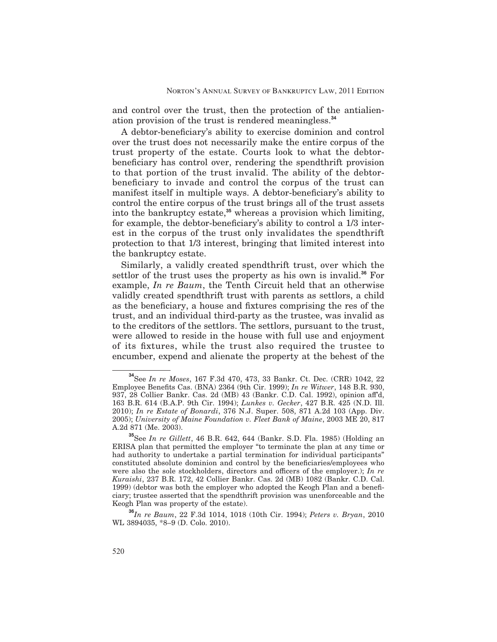and control over the trust, then the protection of the antialienation provision of the trust is rendered meaningless.**<sup>34</sup>**

A debtor-beneficiary's ability to exercise dominion and control over the trust does not necessarily make the entire corpus of the trust property of the estate. Courts look to what the debtorbeneficiary has control over, rendering the spendthrift provision to that portion of the trust invalid. The ability of the debtorbeneficiary to invade and control the corpus of the trust can manifest itself in multiple ways. A debtor-beneficiary's ability to control the entire corpus of the trust brings all of the trust assets into the bankruptcy estate,**<sup>35</sup>** whereas a provision which limiting, for example, the debtor-beneficiary's ability to control a 1/3 interest in the corpus of the trust only invalidates the spendthrift protection to that 1/3 interest, bringing that limited interest into the bankruptcy estate.

Similarly, a validly created spendthrift trust, over which the settlor of the trust uses the property as his own is invalid.**<sup>36</sup>** For example, *In re Baum*, the Tenth Circuit held that an otherwise validly created spendthrift trust with parents as settlors, a child as the beneficiary, a house and fixtures comprising the res of the trust, and an individual third-party as the trustee, was invalid as to the creditors of the settlors. The settlors, pursuant to the trust, were allowed to reside in the house with full use and enjoyment of its fixtures, while the trust also required the trustee to encumber, expend and alienate the property at the behest of the

**<sup>34</sup>**See *In re Moses*, 167 F.3d 470, 473, 33 Bankr. Ct. Dec. (CRR) 1042, 22 Employee Benets Cas. (BNA) 2364 (9th Cir. 1999); *In re Witwer*, 148 B.R. 930, 937, 28 Collier Bankr. Cas. 2d (MB) 43 (Bankr. C.D. Cal. 1992), opinion aff'd, 163 B.R. 614 (B.A.P. 9th Cir. 1994); *Lunkes v. Gecker*, 427 B.R. 425 (N.D. Ill. 2010); *In re Estate of Bonardi*, 376 N.J. Super. 508, 871 A.2d 103 (App. Div. 2005); *University of Maine Foundation v. Fleet Bank of Maine*, 2003 ME 20, 817 A.2d 871 (Me. 2003).

**<sup>35</sup>**See *In re Gillett*, 46 B.R. 642, 644 (Bankr. S.D. Fla. 1985) (Holding an ERISA plan that permitted the employer "to terminate the plan at any time or had authority to undertake a partial termination for individual participants" constituted absolute dominion and control by the beneficiaries/employees who were also the sole stockholders, directors and officers of the employer.); *In re Kuraishi*, 237 B.R. 172, 42 Collier Bankr. Cas. 2d (MB) 1082 (Bankr. C.D. Cal. 1999) (debtor was both the employer who adopted the Keogh Plan and a beneficiary; trustee asserted that the spendthrift provision was unenforceable and the Keogh Plan was property of the estate).

**<sup>36</sup>***In re Baum*, 22 F.3d 1014, 1018 (10th Cir. 1994); *Peters v. Bryan*, 2010 WL 3894035, \*8–9 (D. Colo. 2010).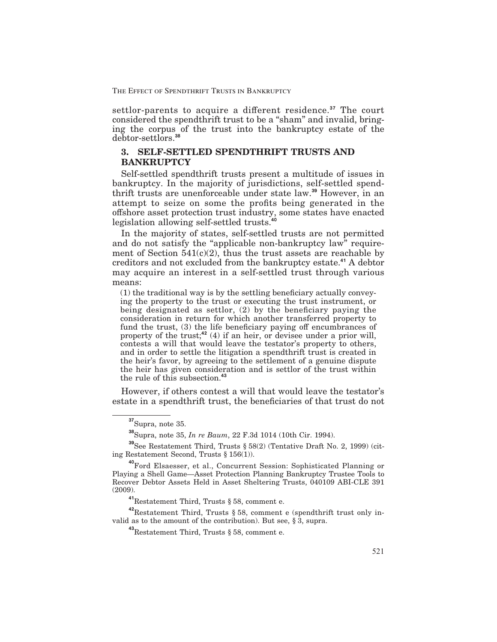THE EFFECT OF SPENDTHRIFT TRUSTS IN BANKRUPTCY

settlor-parents to acquire a different residence.<sup>37</sup> The court considered the spendthrift trust to be a "sham" and invalid, bringing the corpus of the trust into the bankruptcy estate of the debtor-settlors.**<sup>38</sup>**

# **3. SELF-SETTLED SPENDTHRIFT TRUSTS AND BANKRUPTCY**

Self-settled spendthrift trusts present a multitude of issues in bankruptcy. In the majority of jurisdictions, self-settled spendthrift trusts are unenforceable under state law.**<sup>39</sup>** However, in an attempt to seize on some the profits being generated in the offshore asset protection trust industry, some states have enacted legislation allowing self-settled trusts.**<sup>40</sup>**

In the majority of states, self-settled trusts are not permitted and do not satisfy the "applicable non-bankruptcy law" requirement of Section  $541(c)(2)$ , thus the trust assets are reachable by creditors and not excluded from the bankruptcy estate.**<sup>41</sup>** A debtor may acquire an interest in a self-settled trust through various means:

 $(1)$  the traditional way is by the settling beneficiary actually conveying the property to the trust or executing the trust instrument, or being designated as settlor,  $(2)$  by the beneficiary paying the consideration in return for which another transferred property to fund the trust, (3) the life beneficiary paying off encumbrances of property of the trust;**<sup>42</sup>** (4) if an heir, or devisee under a prior will, contests a will that would leave the testator's property to others, and in order to settle the litigation a spendthrift trust is created in the heir's favor, by agreeing to the settlement of a genuine dispute the heir has given consideration and is settlor of the trust within the rule of this subsection.**<sup>43</sup>**

However, if others contest a will that would leave the testator's estate in a spendthrift trust, the beneficiaries of that trust do not

**<sup>39</sup>**See Restatement Third, Trusts § 58(2) (Tentative Draft No. 2, 1999) (citing Restatement Second, Trusts § 156(1)).

**<sup>41</sup>**Restatement Third, Trusts § 58, comment e.

**<sup>42</sup>**Restatement Third, Trusts § 58, comment e (spendthrift trust only invalid as to the amount of the contribution). But see,  $\S$  3, supra.

**<sup>37</sup>**Supra, note 35.

**<sup>38</sup>**Supra, note 35, *In re Baum*, 22 F.3d 1014 (10th Cir. 1994).

**<sup>40</sup>**Ford Elsaesser, et al., Concurrent Session: Sophisticated Planning or Playing a Shell Game—Asset Protection Planning Bankruptcy Trustee Tools to Recover Debtor Assets Held in Asset Sheltering Trusts, 040109 ABI-CLE 391 (2009).

**<sup>43</sup>**Restatement Third, Trusts § 58, comment e.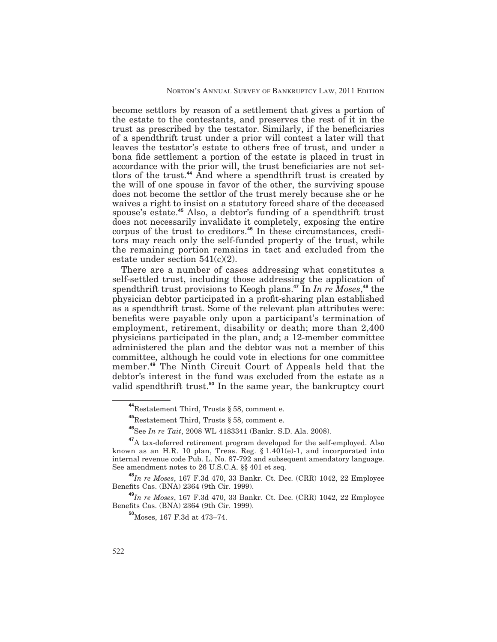become settlors by reason of a settlement that gives a portion of the estate to the contestants, and preserves the rest of it in the trust as prescribed by the testator. Similarly, if the beneficiaries of a spendthrift trust under a prior will contest a later will that leaves the testator's estate to others free of trust, and under a bona fide settlement a portion of the estate is placed in trust in accordance with the prior will, the trust beneficiaries are not settlors of the trust.**<sup>44</sup>** And where a spendthrift trust is created by the will of one spouse in favor of the other, the surviving spouse does not become the settlor of the trust merely because she or he waives a right to insist on a statutory forced share of the deceased spouse's estate.**<sup>45</sup>** Also, a debtor's funding of a spendthrift trust does not necessarily invalidate it completely, exposing the entire corpus of the trust to creditors.**<sup>46</sup>** In these circumstances, creditors may reach only the self-funded property of the trust, while the remaining portion remains in tact and excluded from the estate under section  $541(c)(2)$ .

There are a number of cases addressing what constitutes a self-settled trust, including those addressing the application of spendthrift trust provisions to Keogh plans.**<sup>47</sup>** In *In re Moses*, **<sup>48</sup>** the physician debtor participated in a profit-sharing plan established as a spendthrift trust. Some of the relevant plan attributes were: benefits were payable only upon a participant's termination of employment, retirement, disability or death; more than 2,400 physicians participated in the plan, and; a 12-member committee administered the plan and the debtor was not a member of this committee, although he could vote in elections for one committee member.**<sup>49</sup>** The Ninth Circuit Court of Appeals held that the debtor's interest in the fund was excluded from the estate as a valid spendthrift trust.**<sup>50</sup>** In the same year, the bankruptcy court

**<sup>48</sup>***In re Moses*, 167 F.3d 470, 33 Bankr. Ct. Dec. (CRR) 1042, 22 Employee Benets Cas. (BNA) 2364 (9th Cir. 1999).

**<sup>49</sup>***In re Moses*, 167 F.3d 470, 33 Bankr. Ct. Dec. (CRR) 1042, 22 Employee Benets Cas. (BNA) 2364 (9th Cir. 1999).

**<sup>50</sup>**Moses, 167 F.3d at 473–74.

**<sup>44</sup>**Restatement Third, Trusts § 58, comment e.

**<sup>45</sup>**Restatement Third, Trusts § 58, comment e.

**<sup>46</sup>**See *In re Tait*, 2008 WL 4183341 (Bankr. S.D. Ala. 2008).

<sup>&</sup>lt;sup>47</sup>A tax-deferred retirement program developed for the self-employed. Also known as an H.R. 10 plan, Treas. Reg. § 1.401(e)-1, and incorporated into internal revenue code Pub. L. No. 87-792 and subsequent amendatory language. See amendment notes to 26 U.S.C.A. §§ 401 et seq.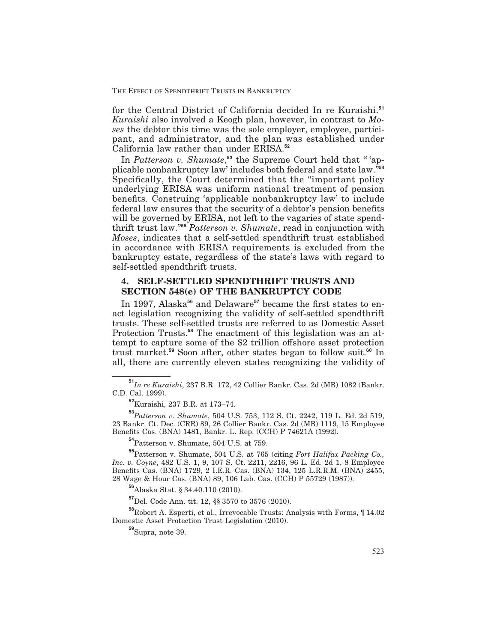for the Central District of California decided In re Kuraishi.**<sup>51</sup>** *Kuraishi* also involved a Keogh plan, however, in contrast to *Moses* the debtor this time was the sole employer, employee, participant, and administrator, and the plan was established under California law rather than under ERISA.**<sup>52</sup>**

In *Patterson v. Shumate*, **<sup>53</sup>** the Supreme Court held that '' 'applicable nonbankruptcy law' includes both federal and state law."**<sup>54</sup>** Specifically, the Court determined that the "important policy underlying ERISA was uniform national treatment of pension benefits. Construing 'applicable nonbankruptcy law' to include federal law ensures that the security of a debtor's pension benefits will be governed by ERISA, not left to the vagaries of state spendthrift trust law."**<sup>55</sup>** *Patterson v. Shumate*, read in conjunction with *Moses*, indicates that a self-settled spendthrift trust established in accordance with ERISA requirements is excluded from the bankruptcy estate, regardless of the state's laws with regard to self-settled spendthrift trusts.

# **4. SELF-SETTLED SPENDTHRIFT TRUSTS AND SECTION 548(e) OF THE BANKRUPTCY CODE**

In 1997, Alaska<sup>56</sup> and Delaware<sup>57</sup> became the first states to enact legislation recognizing the validity of self-settled spendthrift trusts. These self-settled trusts are referred to as Domestic Asset Protection Trusts.**<sup>58</sup>** The enactment of this legislation was an attempt to capture some of the \$2 trillion offshore asset protection trust market.**<sup>59</sup>** Soon after, other states began to follow suit.**<sup>60</sup>** In all, there are currently eleven states recognizing the validity of

**<sup>54</sup>**Patterson v. Shumate, 504 U.S. at 759.

**<sup>55</sup>**Patterson v. Shumate, 504 U.S. at 765 (citing *Fort Halifax Packing Co., Inc. v. Coyne*, 482 U.S. 1, 9, 107 S. Ct. 2211, 2216, 96 L. Ed. 2d 1, 8 Employee Benets Cas. (BNA) 1729, 2 I.E.R. Cas. (BNA) 134, 125 L.R.R.M. (BNA) 2455, 28 Wage & Hour Cas. (BNA) 89, 106 Lab. Cas. (CCH) P 55729 (1987)).

**<sup>56</sup>**Alaska Stat. § 34.40.110 (2010).

**<sup>57</sup>**Del. Code Ann. tit. 12, §§ 3570 to 3576 (2010).

**<sup>58</sup>**Robert A. Esperti, et al., Irrevocable Trusts: Analysis with Forms, ¶ 14.02 Domestic Asset Protection Trust Legislation (2010).

**<sup>59</sup>**Supra, note 39.

**<sup>51</sup>***In re Kuraishi*, 237 B.R. 172, 42 Collier Bankr. Cas. 2d (MB) 1082 (Bankr. C.D. Cal. 1999).

**<sup>52</sup>**Kuraishi, 237 B.R. at 173–74.

**<sup>53</sup>***Patterson v. Shumate*, 504 U.S. 753, 112 S. Ct. 2242, 119 L. Ed. 2d 519, 23 Bankr. Ct. Dec. (CRR) 89, 26 Collier Bankr. Cas. 2d (MB) 1119, 15 Employee Benefits Cas. (BNA) 1481, Bankr. L. Rep. (CCH) P 74621A (1992).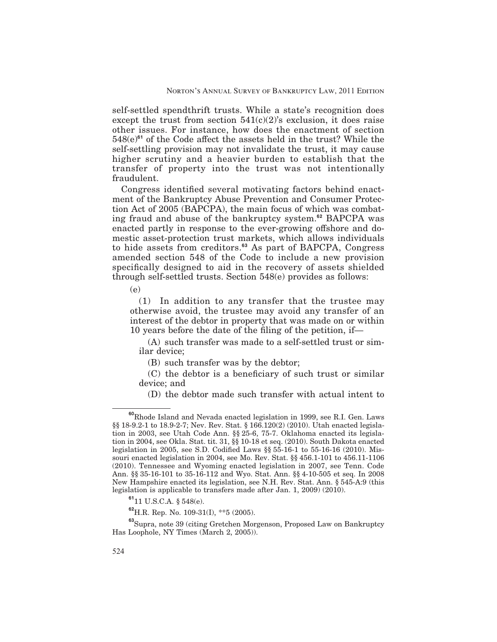self-settled spendthrift trusts. While a state's recognition does except the trust from section  $541(c)(2)$ 's exclusion, it does raise other issues. For instance, how does the enactment of section 548(e)<sup>61</sup> of the Code affect the assets held in the trust? While the self-settling provision may not invalidate the trust, it may cause higher scrutiny and a heavier burden to establish that the transfer of property into the trust was not intentionally fraudulent.

Congress identified several motivating factors behind enactment of the Bankruptcy Abuse Prevention and Consumer Protection Act of 2005 (BAPCPA), the main focus of which was combating fraud and abuse of the bankruptcy system.**<sup>62</sup>** BAPCPA was enacted partly in response to the ever-growing offshore and domestic asset-protection trust markets, which allows individuals to hide assets from creditors.**<sup>63</sup>** As part of BAPCPA, Congress amended section 548 of the Code to include a new provision specifically designed to aid in the recovery of assets shielded through self-settled trusts. Section 548(e) provides as follows:

(e)

(1) In addition to any transfer that the trustee may otherwise avoid, the trustee may avoid any transfer of an interest of the debtor in property that was made on or within 10 years before the date of the filing of the petition, if—

(A) such transfer was made to a self-settled trust or similar device;

(B) such transfer was by the debtor;

 $(C)$  the debtor is a beneficiary of such trust or similar device; and

(D) the debtor made such transfer with actual intent to

**<sup>60</sup>**Rhode Island and Nevada enacted legislation in 1999, see R.I. Gen. Laws §§ 18-9.2-1 to 18.9-2-7; Nev. Rev. Stat. § 166.120(2) (2010). Utah enacted legislation in 2003, see Utah Code Ann. §§ 25-6, 75-7. Oklahoma enacted its legislation in 2004, see Okla. Stat. tit. 31, §§ 10-18 et seq. (2010). South Dakota enacted legislation in 2005, see S.D. Codified Laws §§ 55-16-1 to 55-16-16 (2010). Missouri enacted legislation in 2004, see Mo. Rev. Stat. §§ 456.1-101 to 456.11-1106 (2010). Tennessee and Wyoming enacted legislation in 2007, see Tenn. Code Ann. §§ 35-16-101 to 35-16-112 and Wyo. Stat. Ann. §§ 4-10-505 et seq. In 2008 New Hampshire enacted its legislation, see N.H. Rev. Stat. Ann. § 545-A:9 (this legislation is applicable to transfers made after Jan. 1, 2009) (2010).

**<sup>61</sup>**11 U.S.C.A. § 548(e).

**<sup>62</sup>**H.R. Rep. No. 109-31(I), \*\*5 (2005).

**<sup>63</sup>**Supra, note 39 (citing Gretchen Morgenson, Proposed Law on Bankruptcy Has Loophole, NY Times (March 2, 2005)).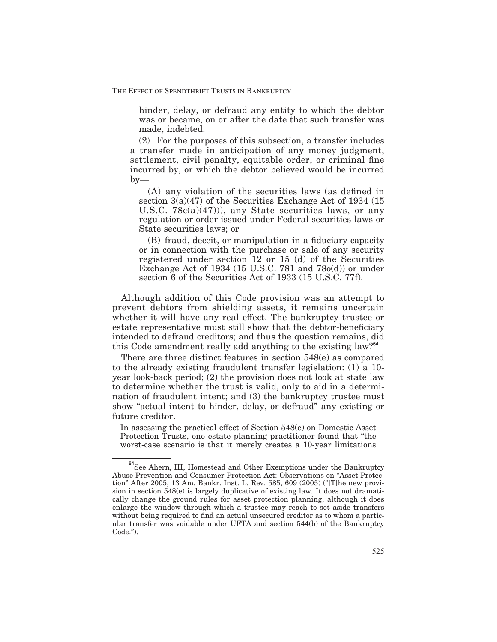hinder, delay, or defraud any entity to which the debtor was or became, on or after the date that such transfer was made, indebted.

(2) For the purposes of this subsection, a transfer includes a transfer made in anticipation of any money judgment, settlement, civil penalty, equitable order, or criminal fine incurred by, or which the debtor believed would be incurred by—

 $(A)$  any violation of the securities laws (as defined in section  $3(a)(47)$  of the Securities Exchange Act of 1934 (15) U.S.C.  $78c(a)(47)$ , any State securities laws, or any regulation or order issued under Federal securities laws or State securities laws; or

(B) fraud, deceit, or manipulation in a fiduciary capacity or in connection with the purchase or sale of any security registered under section 12 or 15 (d) of the Securities Exchange Act of 1934 (15 U.S.C. 781 and  $78o(d)$ ) or under section 6 of the Securities Act of 1933 (15 U.S.C. 77f).

Although addition of this Code provision was an attempt to prevent debtors from shielding assets, it remains uncertain whether it will have any real effect. The bankruptcy trustee or estate representative must still show that the debtor-beneficiary intended to defraud creditors; and thus the question remains, did this Code amendment really add anything to the existing law?**<sup>64</sup>**

There are three distinct features in section 548(e) as compared to the already existing fraudulent transfer legislation: (1) a 10 year look-back period; (2) the provision does not look at state law to determine whether the trust is valid, only to aid in a determination of fraudulent intent; and (3) the bankruptcy trustee must show "actual intent to hinder, delay, or defraud" any existing or future creditor.

In assessing the practical effect of Section 548(e) on Domestic Asset Protection Trusts, one estate planning practitioner found that "the worst-case scenario is that it merely creates a 10-year limitations

**<sup>64</sup>**See Ahern, III, Homestead and Other Exemptions under the Bankruptcy Abuse Prevention and Consumer Protection Act: Observations on "Asset Protection" After 2005, 13 Am. Bankr. Inst. L. Rev. 585, 609 (2005) ("[T]he new provision in section 548(e) is largely duplicative of existing law. It does not dramatically change the ground rules for asset protection planning, although it does enlarge the window through which a trustee may reach to set aside transfers without being required to find an actual unsecured creditor as to whom a particular transfer was voidable under UFTA and section 544(b) of the Bankruptcy Code.").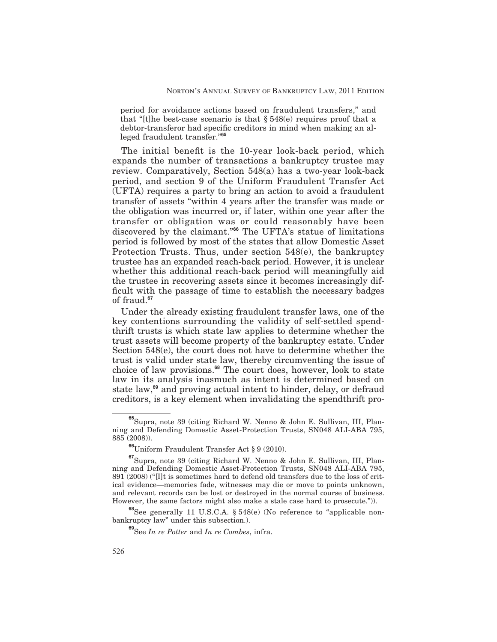period for avoidance actions based on fraudulent transfers," and that "[t]he best-case scenario is that  $\S 548(e)$  requires proof that a debtor-transferor had specific creditors in mind when making an alleged fraudulent transfer."**<sup>65</sup>**

The initial benefit is the 10-year look-back period, which expands the number of transactions a bankruptcy trustee may review. Comparatively, Section 548(a) has a two-year look-back period, and section 9 of the Uniform Fraudulent Transfer Act (UFTA) requires a party to bring an action to avoid a fraudulent transfer of assets "within 4 years after the transfer was made or the obligation was incurred or, if later, within one year after the transfer or obligation was or could reasonably have been discovered by the claimant."**<sup>66</sup>** The UFTA's statue of limitations period is followed by most of the states that allow Domestic Asset Protection Trusts. Thus, under section 548(e), the bankruptcy trustee has an expanded reach-back period. However, it is unclear whether this additional reach-back period will meaningfully aid the trustee in recovering assets since it becomes increasingly dif ficult with the passage  $\overline{0}$  f time to establish the necessary badges of fraud.**<sup>67</sup>**

Under the already existing fraudulent transfer laws, one of the key contentions surrounding the validity of self-settled spendthrift trusts is which state law applies to determine whether the trust assets will become property of the bankruptcy estate. Under Section 548(e), the court does not have to determine whether the trust is valid under state law, thereby circumventing the issue of choice of law provisions.**<sup>68</sup>** The court does, however, look to state law in its analysis inasmuch as intent is determined based on state law,**<sup>69</sup>** and proving actual intent to hinder, delay, or defraud creditors, is a key element when invalidating the spendthrift pro-

**<sup>68</sup>**See generally 11 U.S.C.A. § 548(e) (No reference to "applicable nonbankruptcy law" under this subsection.).

**<sup>65</sup>**Supra, note 39 (citing Richard W. Nenno & John E. Sullivan, III, Planning and Defending Domestic Asset-Protection Trusts, SN048 ALI-ABA 795, 885 (2008)).

**<sup>66</sup>**Uniform Fraudulent Transfer Act § 9 (2010).

**<sup>67</sup>**Supra, note 39 (citing Richard W. Nenno & John E. Sullivan, III, Planning and Defending Domestic Asset-Protection Trusts, SN048 ALI-ABA 795, 891 (2008) ("[I]t is sometimes hard to defend old transfers due to the loss of critical evidence—memories fade, witnesses may die or move to points unknown, and relevant records can be lost or destroyed in the normal course of business. However, the same factors might also make a stale case hard to prosecute.")).

**<sup>69</sup>**See *In re Potter* and *In re Combes*, infra.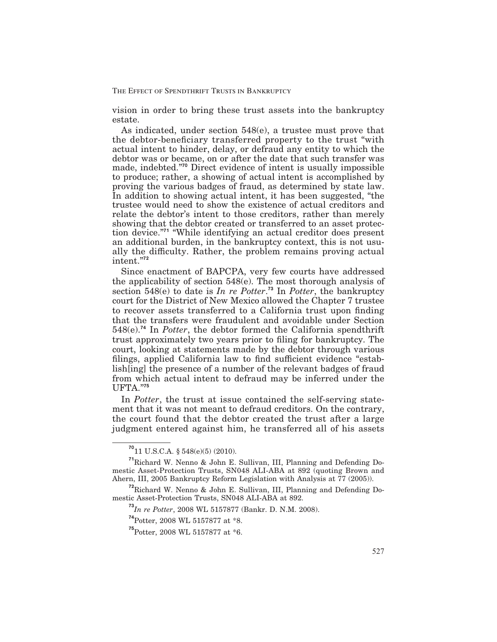vision in order to bring these trust assets into the bankruptcy estate.

As indicated, under section 548(e), a trustee must prove that the debtor-beneficiary transferred property to the trust "with" actual intent to hinder, delay, or defraud any entity to which the debtor was or became, on or after the date that such transfer was made, indebted."**<sup>70</sup>** Direct evidence of intent is usually impossible to produce; rather, a showing of actual intent is accomplished by proving the various badges of fraud, as determined by state law. In addition to showing actual intent, it has been suggested, "the trustee would need to show the existence of actual creditors and relate the debtor's intent to those creditors, rather than merely showing that the debtor created or transferred to an asset protection device."**<sup>71</sup>** "While identifying an actual creditor does present an additional burden, in the bankruptcy context, this is not usually the difficulty. Rather, the problem remains proving actual intent."**<sup>72</sup>**

Since enactment of BAPCPA, very few courts have addressed the applicability of section 548(e). The most thorough analysis of section 548(e) to date is *In re Potter*. **<sup>73</sup>** In *Potter*, the bankruptcy court for the District of New Mexico allowed the Chapter 7 trustee to recover assets transferred to a California trust upon finding that the transfers were fraudulent and avoidable under Section 548(e).**<sup>74</sup>** In *Potter*, the debtor formed the California spendthrift trust approximately two years prior to filing for bankruptcy. The court, looking at statements made by the debtor through various filings, applied California law to find sufficient evidence "establish[ing] the presence of a number of the relevant badges of fraud from which actual intent to defraud may be inferred under the UFTA."**<sup>75</sup>**

In *Potter*, the trust at issue contained the self-serving statement that it was not meant to defraud creditors. On the contrary, the court found that the debtor created the trust after a large judgment entered against him, he transferred all of his assets

**<sup>70</sup>**11 U.S.C.A. § 548(e)(5) (2010).

**<sup>71</sup>**Richard W. Nenno & John E. Sullivan, III, Planning and Defending Domestic Asset-Protection Trusts, SN048 ALI-ABA at 892 (quoting Brown and Ahern, III, 2005 Bankruptcy Reform Legislation with Analysis at  $77$  (2005)).

**<sup>72</sup>**Richard W. Nenno & John E. Sullivan, III, Planning and Defending Domestic Asset-Protection Trusts, SN048 ALI-ABA at 892.

**<sup>73</sup>***In re Potter*, 2008 WL 5157877 (Bankr. D. N.M. 2008).

**<sup>74</sup>**Potter, 2008 WL 5157877 at \*8.

**<sup>75</sup>**Potter, 2008 WL 5157877 at \*6.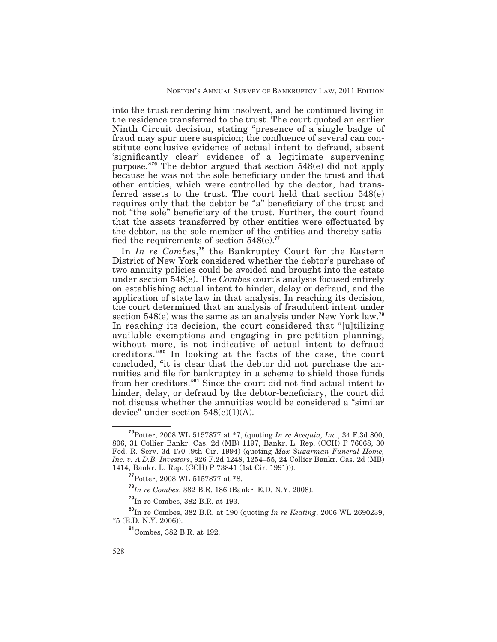into the trust rendering him insolvent, and he continued living in the residence transferred to the trust. The court quoted an earlier Ninth Circuit decision, stating "presence of a single badge of fraud may spur mere suspicion; the confluence of several can constitute conclusive evidence of actual intent to defraud, absent 'significantly clear' evidence of a legitimate supervening purpose."**<sup>76</sup>** The debtor argued that section 548(e) did not apply because he was not the sole beneficiary under the trust and that other entities, which were controlled by the debtor, had transferred assets to the trust. The court held that section 548(e) requires only that the debtor be "a" beneficiary of the trust and not "the sole" beneficiary of the trust. Further, the court found that the assets transferred by other entities were effectuated by the debtor, as the sole member of the entities and thereby satis fied the requirements of section  $548(e)$ .<sup>77</sup>

In *In re Combes*, **<sup>78</sup>** the Bankruptcy Court for the Eastern District of New York considered whether the debtor's purchase of two annuity policies could be avoided and brought into the estate under section 548(e). The *Combes* court's analysis focused entirely on establishing actual intent to hinder, delay or defraud, and the application of state law in that analysis. In reaching its decision, the court determined that an analysis of fraudulent intent under section 548(e) was the same as an analysis under New York law.**<sup>79</sup>** In reaching its decision, the court considered that "[u]tilizing available exemptions and engaging in pre-petition planning, without more, is not indicative of actual intent to defraud creditors."**<sup>80</sup>** In looking at the facts of the case, the court concluded, "it is clear that the debtor did not purchase the annuities and file for bankruptcy in a scheme to shield those funds from her creditors.<sup>"81</sup> Since the court did not find actual intent to hinder, delay, or defraud by the debtor-beneficiary, the court did not discuss whether the annuities would be considered a "similar device" under section  $548(e)(1)(A)$ .

**<sup>76</sup>**Potter, 2008 WL 5157877 at \*7, (quoting *In re Acequia, Inc.*, 34 F.3d 800, 806, 31 Collier Bankr. Cas. 2d (MB) 1197, Bankr. L. Rep. (CCH) P 76068, 30 Fed. R. Serv. 3d 170 (9th Cir. 1994) (quoting *Max Sugarman Funeral Home, Inc. v. A.D.B. Investors*, 926 F.2d 1248, 1254–55, 24 Collier Bankr. Cas. 2d (MB) 1414, Bankr. L. Rep. (CCH) P 73841 (1st Cir. 1991))).

**<sup>77</sup>**Potter, 2008 WL 5157877 at \*8.

**<sup>78</sup>***In re Combes*, 382 B.R. 186 (Bankr. E.D. N.Y. 2008).

**<sup>79</sup>**In re Combes, 382 B.R. at 193.

**<sup>80</sup>**In re Combes, 382 B.R. at 190 (quoting *In re Keating*, 2006 WL 2690239, \*5 (E.D. N.Y. 2006)).

**<sup>81</sup>**Combes, 382 B.R. at 192.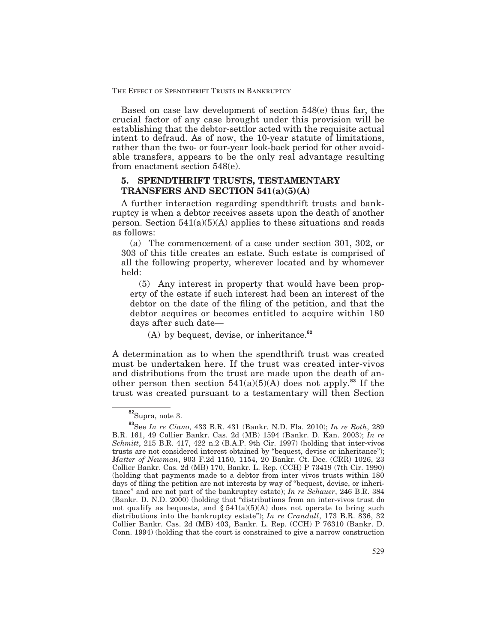Based on case law development of section 548(e) thus far, the crucial factor of any case brought under this provision will be establishing that the debtor-settlor acted with the requisite actual intent to defraud. As of now, the 10-year statute of limitations, rather than the two- or four-year look-back period for other avoidable transfers, appears to be the only real advantage resulting from enactment section 548(e).

# **5. SPENDTHRIFT TRUSTS, TESTAMENTARY TRANSFERS AND SECTION 541(a)(5)(A)**

A further interaction regarding spendthrift trusts and bankruptcy is when a debtor receives assets upon the death of another person. Section  $541(a)(5)(A)$  applies to these situations and reads as follows:

(a) The commencement of a case under section 301, 302, or 303 of this title creates an estate. Such estate is comprised of all the following property, wherever located and by whomever held:

(5) Any interest in property that would have been property of the estate if such interest had been an interest of the debtor on the date of the filing of the petition, and that the debtor acquires or becomes entitled to acquire within 180 days after such date—

(A) by bequest, devise, or inheritance.**<sup>82</sup>**

A determination as to when the spendthrift trust was created must be undertaken here. If the trust was created inter-vivos and distributions from the trust are made upon the death of another person then section  $541(a)(5)(A)$  does not apply.<sup>83</sup> If the trust was created pursuant to a testamentary will then Section

**<sup>82</sup>**Supra, note 3.

**<sup>83</sup>**See *In re Ciano*, 433 B.R. 431 (Bankr. N.D. Fla. 2010); *In re Roth*, 289 B.R. 161, 49 Collier Bankr. Cas. 2d (MB) 1594 (Bankr. D. Kan. 2003); *In re Schmitt*, 215 B.R. 417, 422 n.2 (B.A.P. 9th Cir. 1997) (holding that inter-vivos trusts are not considered interest obtained by "bequest, devise or inheritance"); *Matter of Newman*, 903 F.2d 1150, 1154, 20 Bankr. Ct. Dec. (CRR) 1026, 23 Collier Bankr. Cas. 2d (MB) 170, Bankr. L. Rep. (CCH) P 73419 (7th Cir. 1990) (holding that payments made to a debtor from inter vivos trusts within 180 days of filing the petition are not interests by way of "bequest, devise, or inheritance" and are not part of the bankruptcy estate); *In re Schauer*, 246 B.R. 384 (Bankr. D. N.D. 2000) (holding that "distributions from an inter-vivos trust do not qualify as bequests, and  $\S 541(a)(5)(A)$  does not operate to bring such distributions into the bankruptcy estate"); *In re Crandall*, 173 B.R. 836, 32 Collier Bankr. Cas. 2d (MB) 403, Bankr. L. Rep. (CCH) P 76310 (Bankr. D. Conn. 1994) (holding that the court is constrained to give a narrow construction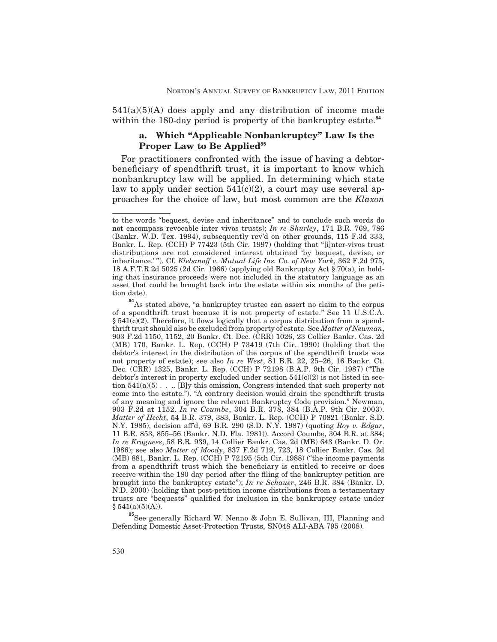$541(a)(5)(A)$  does apply and any distribution of income made within the 180-day period is property of the bankruptcy estate.**<sup>84</sup>**

# **a. Which "Applicable Nonbankruptcy" Law Is the Proper Law to Be Applied<sup>85</sup>**

For practitioners confronted with the issue of having a debtorbeneficiary of spendthrift trust, it is important to know which nonbankruptcy law will be applied. In determining which state law to apply under section  $541(c)(2)$ , a court may use several approaches for the choice of law, but most common are the *Klaxon*

**<sup>85</sup>**See generally Richard W. Nenno & John E. Sullivan, III, Planning and Defending Domestic Asset-Protection Trusts, SN048 ALI-ABA 795 (2008).

to the words "bequest, devise and inheritance" and to conclude such words do not encompass revocable inter vivos trusts); *In re Shurley*, 171 B.R. 769, 786 (Bankr. W.D. Tex. 1994), subsequently rev'd on other grounds, 115 F.3d 333, Bankr. L. Rep. (CCH) P 77423 (5th Cir. 1997) (holding that "[i]nter-vivos trust distributions are not considered interest obtained 'by bequest, devise, or inheritance.'"). Cf. *Klebanoff v. Mutual Life Ins. Co. of New York*, 362 F.2d 975, 18 A.F.T.R.2d 5025 (2d Cir. 1966) (applying old Bankruptcy Act § 70(a), in holding that insurance proceeds were not included in the statutory language as an asset that could be brought back into the estate within six months of the petition date).

<sup>&</sup>lt;sup>84</sup>As stated above, "a bankruptcy trustee can assert no claim to the corpus of a spendthrift trust because it is not property of estate." See 11 U.S.C.A. §  $541(c)(2)$ . Therefore, it flows logically that a corpus distribution from a spendthrift trust should also be excluded from property of estate. See *Matter of Newman*, 903 F.2d 1150, 1152, 20 Bankr. Ct. Dec. (CRR) 1026, 23 Collier Bankr. Cas. 2d (MB) 170, Bankr. L. Rep. (CCH) P 73419 (7th Cir. 1990) (holding that the debtor's interest in the distribution of the corpus of the spendthrift trusts was not property of estate); see also *In re West*, 81 B.R. 22, 25–26, 16 Bankr. Ct. Dec. (CRR) 1325, Bankr. L. Rep. (CCH) P 72198 (B.A.P. 9th Cir. 1987) ("The debtor's interest in property excluded under section  $541(c)(2)$  is not listed in section 541(a)(5) . . .. [B]y this omission, Congress intended that such property not come into the estate."). "A contrary decision would drain the spendthrift trusts of any meaning and ignore the relevant Bankruptcy Code provision." Newman, 903 F.2d at 1152. *In re Coumbe*, 304 B.R. 378, 384 (B.A.P. 9th Cir. 2003). *Matter of Hecht*, 54 B.R. 379, 383, Bankr. L. Rep. (CCH) P 70821 (Bankr. S.D. N.Y. 1985), decision aff<sup>d</sup>, 69 B.R. 290 (S.D. N.Y. 1987) (quoting *Roy v. Edgar*, 11 B.R. 853, 855–56 (Bankr. N.D. Fla. 1981)). Accord Coumbe, 304 B.R. at 384; *In re Kragness*, 58 B.R. 939, 14 Collier Bankr. Cas. 2d (MB) 643 (Bankr. D. Or. 1986); see also *Matter of Moody*, 837 F.2d 719, 723, 18 Collier Bankr. Cas. 2d (MB) 881, Bankr. L. Rep. (CCH) P 72195 (5th Cir. 1988) ("the income payments from a spendthrift trust which the beneficiary is entitled to receive or does receive within the 180 day period after the filing of the bankruptcy petition are brought into the bankruptcy estate"); *In re Schauer*, 246 B.R. 384 (Bankr. D. N.D. 2000) (holding that post-petition income distributions from a testamentary trusts are "bequests" qualified for inclusion in the bankruptcy estate under  $§ 541(a)(5)(A)).$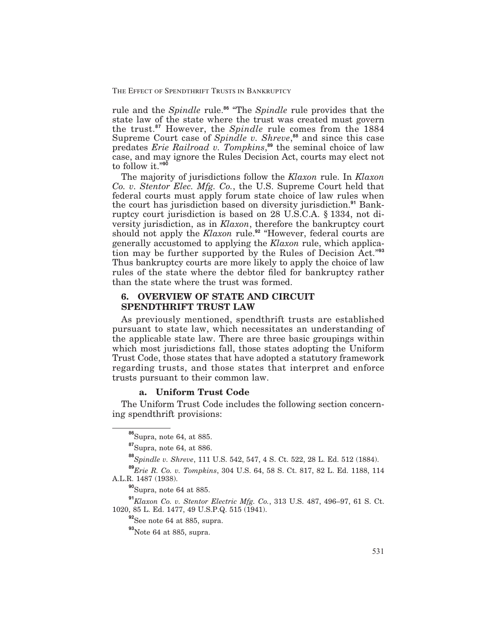rule and the *Spindle* rule.**<sup>86</sup>** "The *Spindle* rule provides that the state law of the state where the trust was created must govern the trust.**<sup>87</sup>** However, the *Spindle* rule comes from the 1884 Supreme Court case of *Spindle v. Shreve*, **<sup>88</sup>** and since this case predates *Erie Railroad v. Tompkins*, **<sup>89</sup>** the seminal choice of law case, and may ignore the Rules Decision Act, courts may elect not to follow it."**<sup>90</sup>**

The majority of jurisdictions follow the *Klaxon* rule. In *Klaxon Co. v. Stentor Elec. Mfg. Co.*, the U.S. Supreme Court held that federal courts must apply forum state choice of law rules when the court has jurisdiction based on diversity jurisdiction.**<sup>91</sup>** Bankruptcy court jurisdiction is based on 28 U.S.C.A. § 1334, not diversity jurisdiction, as in *Klaxon*, therefore the bankruptcy court should not apply the *Klaxon* rule.**<sup>92</sup>** "However, federal courts are generally accustomed to applying the *Klaxon* rule, which application may be further supported by the Rules of Decision Act."**<sup>93</sup>** Thus bankruptcy courts are more likely to apply the choice of law rules of the state where the debtor filed for bankruptcy rather than the state where the trust was formed.

# **6. OVERVIEW OF STATE AND CIRCUIT SPENDTHRIFT TRUST LAW**

As previously mentioned, spendthrift trusts are established pursuant to state law, which necessitates an understanding of the applicable state law. There are three basic groupings within which most jurisdictions fall, those states adopting the Uniform Trust Code, those states that have adopted a statutory framework regarding trusts, and those states that interpret and enforce trusts pursuant to their common law.

# **a. Uniform Trust Code**

The Uniform Trust Code includes the following section concerning spendthrift provisions:

**<sup>86</sup>**Supra, note 64, at 885.

**<sup>87</sup>**Supra, note 64, at 886.

**<sup>88</sup>***Spindle v. Shreve*, 111 U.S. 542, 547, 4 S. Ct. 522, 28 L. Ed. 512 (1884).

**<sup>89</sup>***Erie R. Co. v. Tompkins*, 304 U.S. 64, 58 S. Ct. 817, 82 L. Ed. 1188, 114 A.L.R. 1487 (1938).

**<sup>90</sup>**Supra, note 64 at 885.

**<sup>91</sup>***Klaxon Co. v. Stentor Electric Mfg. Co.*, 313 U.S. 487, 496–97, 61 S. Ct. 1020, 85 L. Ed. 1477, 49 U.S.P.Q. 515 (1941).

**<sup>92</sup>**See note 64 at 885, supra.

**<sup>93</sup>**Note 64 at 885, supra.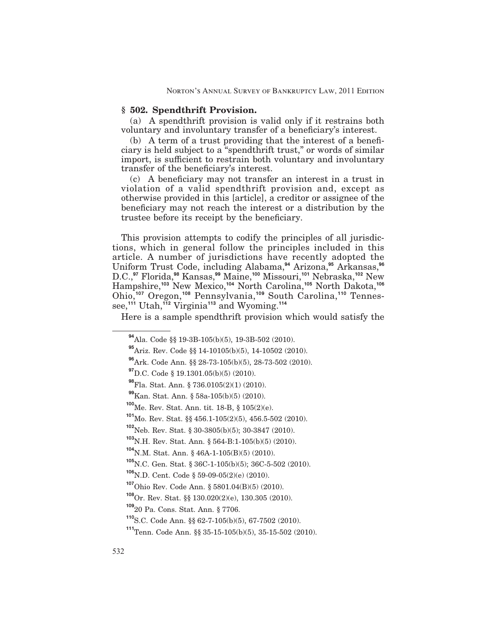# **§ 502. Spendthrift Provision.**

(a) A spendthrift provision is valid only if it restrains both voluntary and involuntary transfer of a beneficiary's interest.

 $(b)$  A term of a trust providing that the interest of a beneficiary is held subject to a "spendthrift trust," or words of similar import, is sufficient to restrain both voluntary and involuntary transfer of the beneficiary's interest.

 $(c)$  A beneficiary may not transfer an interest in a trust in violation of a valid spendthrift provision and, except as otherwise provided in this [article], a creditor or assignee of the beneficiary may not reach the interest or a distribution by the trustee before its receipt by the beneficiary.

This provision attempts to codify the principles of all jurisdictions, which in general follow the principles included in this tions, which in general follow the principles included in this article. A number of jurisdictions have recently adopted the Uniform Trust Code, including Alabama,**<sup>94</sup>** Arizona,**<sup>95</sup>** Arkansas,**<sup>96</sup>** D.C.,**<sup>97</sup>** Florida,**<sup>98</sup>** Kansas,**<sup>99</sup>** Maine,**<sup>100</sup>** Missouri,**<sup>101</sup>** Nebraska,**<sup>102</sup>** New Hampshire,**<sup>103</sup>** New Mexico,**<sup>104</sup>** North Carolina,**<sup>105</sup>** North Dakota,**<sup>106</sup>** Ohio,**<sup>107</sup>** Oregon,**<sup>108</sup>** Pennsylvania,**<sup>109</sup>** South Carolina,**<sup>110</sup>** Tennessee,**<sup>111</sup>** Utah,**<sup>112</sup>** Virginia**<sup>113</sup>** and Wyoming.**<sup>114</sup>**

Here is a sample spendthrift provision which would satisfy the

**<sup>109</sup>**20 Pa. Cons. Stat. Ann. § 7706.

**<sup>94</sup>**Ala. Code §§ 19-3B-105(b)(5), 19-3B-502 (2010).

**<sup>95</sup>**Ariz. Rev. Code §§ 14-10105(b)(5), 14-10502 (2010).

**<sup>96</sup>**Ark. Code Ann. §§ 28-73-105(b)(5), 28-73-502 (2010).

**<sup>97</sup>**D.C. Code § 19.1301.05(b)(5) (2010).

**<sup>98</sup>**Fla. Stat. Ann. § 736.0105(2)(1) (2010).

**<sup>99</sup>**Kan. Stat. Ann. § 58a-105(b)(5) (2010).

**<sup>100</sup>**Me. Rev. Stat. Ann. tit. 18-B, § 105(2)(e).

**<sup>101</sup>**Mo. Rev. Stat. §§ 456.1-105(2)(5), 456.5-502 (2010).

**<sup>102</sup>**Neb. Rev. Stat. § 30-3805(b)(5); 30-3847 (2010).

**<sup>103</sup>**N.H. Rev. Stat. Ann. § 564-B:1-105(b)(5) (2010).

**<sup>104</sup>**N.M. Stat. Ann. § 46A-1-105(B)(5) (2010).

**<sup>105</sup>**N.C. Gen. Stat. § 36C-1-105(b)(5); 36C-5-502 (2010).

**<sup>106</sup>**N.D. Cent. Code § 59-09-05(2)(e) (2010).

**<sup>107</sup>**Ohio Rev. Code Ann. § 5801.04(B)(5) (2010).

**<sup>108</sup>**Or. Rev. Stat. §§ 130.020(2)(e), 130.305 (2010).

**<sup>110</sup>**S.C. Code Ann. §§ 62-7-105(b)(5), 67-7502 (2010).

**<sup>111</sup>**Tenn. Code Ann. §§ 35-15-105(b)(5), 35-15-502 (2010).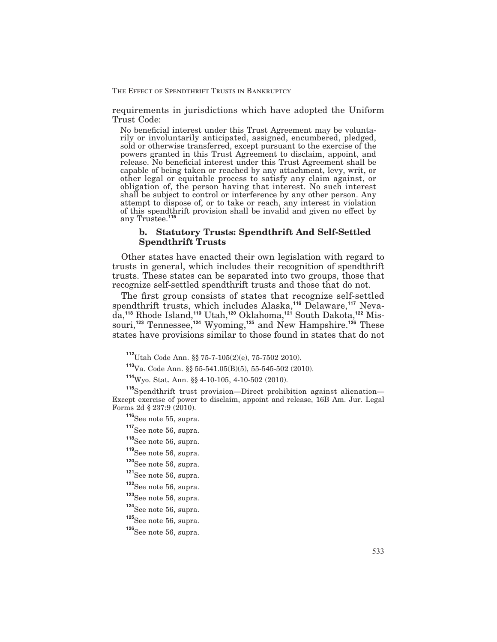requirements in jurisdictions which have adopted the Uniform Trust Code:

No beneficial interest under this Trust Agreement may be voluntarily or involuntarily anticipated, assigned, encumbered, pledged, sold or otherwise transferred, except pursuant to the exercise of the powers granted in this Trust Agreement to disclaim, appoint, and release. No beneficial interest under this Trust Agreement shall be capable of being taken or reached by any attachment, levy, writ, or other legal or equitable process to satisfy any claim against, or obligation of, the person having that interest. No such interest shall be subject to control or interference by any other person. Any attempt to dispose of, or to take or reach, any interest in violation of this spendthrift provision shall be invalid and given no effect by any Trustee.**<sup>115</sup>**

# **b. Statutory Trusts: Spendthrift And Self-Settled Spendthrift Trusts**

Other states have enacted their own legislation with regard to trusts in general, which includes their recognition of spendthrift trusts. These states can be separated into two groups, those that recognize self-settled spendthrift trusts and those that do not.

The first group consists of states that recognize self-settled spendthrift trusts, which includes Alaska,**<sup>116</sup>** Delaware,**<sup>117</sup>** Nevada,**<sup>118</sup>** Rhode Island,**<sup>119</sup>** Utah,**<sup>120</sup>** Oklahoma,**<sup>121</sup>** South Dakota,**<sup>122</sup>** Missouri,**<sup>123</sup>** Tennessee,**<sup>124</sup>** Wyoming,**<sup>125</sup>** and New Hampshire.**<sup>126</sup>** These states have provisions similar to those found in states that do not

- **<sup>116</sup>**See note 55, supra.
- **<sup>117</sup>**See note 56, supra.
- **<sup>118</sup>**See note 56, supra.
- **<sup>119</sup>**See note 56, supra.
- **<sup>120</sup>**See note 56, supra.
- **<sup>121</sup>**See note 56, supra.
- **<sup>122</sup>**See note 56, supra.
- **<sup>123</sup>**See note 56, supra.
- **<sup>124</sup>**See note 56, supra.
- **<sup>125</sup>**See note 56, supra.

**<sup>112</sup>**Utah Code Ann. §§ 75-7-105(2)(e), 75-7502 2010).

**<sup>113</sup>**Va. Code Ann. §§ 55-541.05(B)(5), 55-545-502 (2010).

**<sup>114</sup>**Wyo. Stat. Ann. §§ 4-10-105, 4-10-502 (2010).

**<sup>115</sup>**Spendthrift trust provision—Direct prohibition against alienation— Except exercise of power to disclaim, appoint and release, 16B Am. Jur. Legal Forms 2d  $\S 237:9$  (2010).

**<sup>126</sup>**See note 56, supra.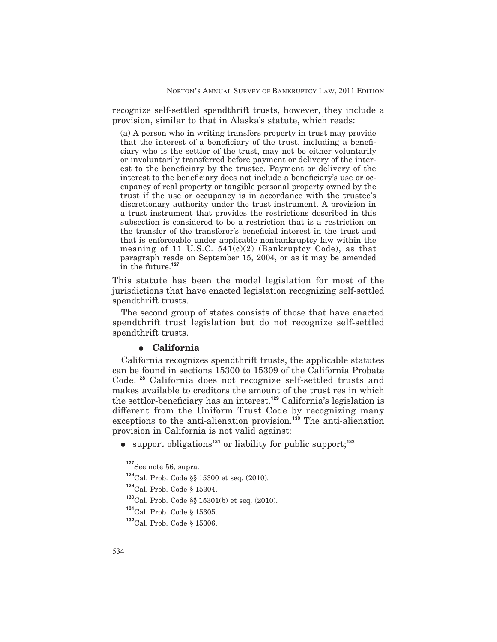recognize self-settled spendthrift trusts, however, they include a provision, similar to that in Alaska's statute, which reads:

(a) A person who in writing transfers property in trust may provide that the interest of a beneficiary of the trust, including a beneficiary who is the settlor of the trust, may not be either voluntarily or involuntarily transferred before payment or delivery of the interest to the beneficiary by the trustee. Payment or delivery of the interest to the beneficiary does not include a beneficiary's use or occupancy of real property or tangible personal property owned by the trust if the use or occupancy is in accordance with the trustee's discretionary authority under the trust instrument. A provision in a trust instrument that provides the restrictions described in this subsection is considered to be a restriction that is a restriction on the transfer of the transferor's beneficial interest in the trust and that is enforceable under applicable nonbankruptcy law within the meaning of 11 U.S.C. 541(c)(2) (Bankruptcy Code), as that paragraph reads on September 15, 2004, or as it may be amended in the future.**<sup>127</sup>**

This statute has been the model legislation for most of the jurisdictions that have enacted legislation recognizing self-settled spendthrift trusts.

The second group of states consists of those that have enacted spendthrift trust legislation but do not recognize self-settled spendthrift trusts.

# $\bullet$  California

California recognizes spendthrift trusts, the applicable statutes can be found in sections 15300 to 15309 of the California Probate Code.**<sup>128</sup>** California does not recognize self-settled trusts and makes available to creditors the amount of the trust res in which the settlor-beneficiary has an interest.<sup>129</sup> California's legislation is different from the Uniform Trust Code by recognizing many exceptions to the anti-alienation provision.**<sup>130</sup>** The anti-alienation provision in California is not valid against:

E support obligations**<sup>131</sup>** or liability for public support;**<sup>132</sup>**

**<sup>127</sup>**See note 56, supra.

**<sup>128</sup>**Cal. Prob. Code §§ 15300 et seq. (2010).

**<sup>129</sup>**Cal. Prob. Code § 15304.

**<sup>130</sup>**Cal. Prob. Code §§ 15301(b) et seq. (2010).

**<sup>131</sup>**Cal. Prob. Code § 15305.

**<sup>132</sup>**Cal. Prob. Code § 15306.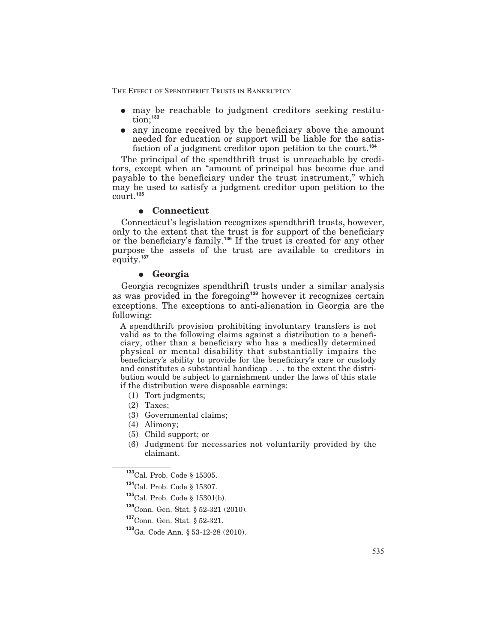- may be reachable to judgment creditors seeking restitution;**<sup>133</sup>**
- $\bullet$  any income received by the beneficiary above the amount needed for education or support will be liable for the satisfaction of a judgment creditor upon petition to the court.**<sup>134</sup>**

The principal of the spendthrift trust is unreachable by creditors, except when an "amount of principal has become due and payable to the beneficiary under the trust instrument," which may be used to satisfy a judgment creditor upon petition to the court.**<sup>135</sup>**

# E **Connecticut**

Connecticut's legislation recognizes spendthrift trusts, however, only to the extent that the trust is for support of the beneficiary or the beneficiary's family.<sup>136</sup> If the trust is created for any other purpose the assets of the trust are available to creditors in equity.**<sup>137</sup>**

### E **Georgia**

Georgia recognizes spendthrift trusts under a similar analysis as was provided in the foregoing**<sup>138</sup>** however it recognizes certain exceptions. The exceptions to anti-alienation in Georgia are the following:

A spendthrift provision prohibiting involuntary transfers is not valid as to the following claims against a distribution to a beneficiary, other than a beneficiary who has a medically determined physical or mental disability that substantially impairs the beneficiary's ability to provide for the beneficiary's care or custody and constitutes a substantial handicap . . . to the extent the distribution would be subject to garnishment under the laws of this state if the distribution were disposable earnings:

- (1) Tort judgments;
- (2) Taxes;
- (3) Governmental claims;
- (4) Alimony;
- (5) Child support; or
- (6) Judgment for necessaries not voluntarily provided by the claimant.

**<sup>137</sup>**Conn. Gen. Stat. § 52-321.

**<sup>133</sup>**Cal. Prob. Code § 15305.

**<sup>134</sup>**Cal. Prob. Code § 15307.

**<sup>135</sup>**Cal. Prob. Code § 15301(b).

**<sup>136</sup>**Conn. Gen. Stat. § 52-321 (2010).

**<sup>138</sup>**Ga. Code Ann. § 53-12-28 (2010).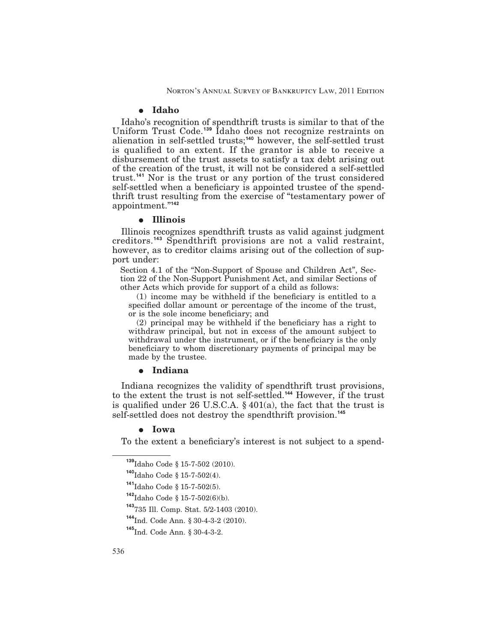#### E **Idaho**

Idaho's recognition of spendthrift trusts is similar to that of the Uniform Trust Code.**<sup>139</sup>** Idaho does not recognize restraints on alienation in self-settled trusts;**<sup>140</sup>** however, the self-settled trust is qualified to an extent. If the grantor is able to receive a disbursement of the trust assets to satisfy a tax debt arising out of the creation of the trust, it will not be considered a self-settled trust.**<sup>141</sup>** Nor is the trust or any portion of the trust considered self-settled when a beneficiary is appointed trustee of the spendthrift trust resulting from the exercise of "testamentary power of appointment."**<sup>142</sup>**

#### E **Illinois**

Illinois recognizes spendthrift trusts as valid against judgment creditors.**<sup>143</sup>** Spendthrift provisions are not a valid restraint, however, as to creditor claims arising out of the collection of support under:

Section 4.1 of the "Non-Support of Spouse and Children Act", Section 22 of the Non-Support Punishment Act, and similar Sections of other Acts which provide for support of a child as follows:

 $(1)$  income may be withheld if the beneficiary is entitled to a specified dollar amount or percentage of the income of the trust, or is the sole income beneficiary; and

 $(2)$  principal may be withheld if the beneficiary has a right to withdraw principal, but not in excess of the amount subject to withdrawal under the instrument, or if the beneficiary is the only beneficiary to whom discretionary payments of principal may be made by the trustee.

## E **Indiana**

Indiana recognizes the validity of spendthrift trust provisions, to the extent the trust is not self-settled.**<sup>144</sup>** However, if the trust is qualified under 26 U.S.C.A.  $\S$  401(a), the fact that the trust is self-settled does not destroy the spendthrift provision.**<sup>145</sup>**

### E **Iowa**

To the extent a beneficiary's interest is not subject to a spend-

**<sup>139</sup>**Idaho Code § 15-7-502 (2010).

**<sup>140</sup>**Idaho Code § 15-7-502(4).

**<sup>141</sup>**Idaho Code § 15-7-502(5).

**<sup>142</sup>**Idaho Code § 15-7-502(6)(b).

**<sup>143</sup>**735 Ill. Comp. Stat. 5/2-1403 (2010).

**<sup>144</sup>**Ind. Code Ann. § 30-4-3-2 (2010).

**<sup>145</sup>**Ind. Code Ann. § 30-4-3-2.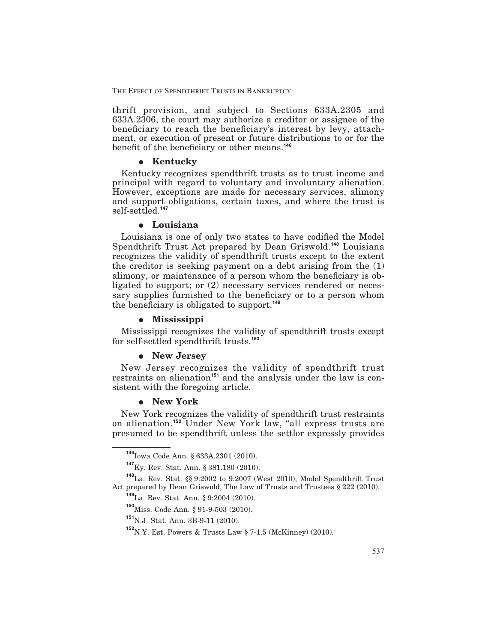thrift provision, and subject to Sections 633A.2305 and 633A.2306, the court may authorize a creditor or assignee of the beneficiary to reach the beneficiary's interest by levy, attachment, or execution of present or future distributions to or for the benefit of the beneficiary or other means.<sup>146</sup>

### **•** Kentucky

Kentucky recognizes spendthrift trusts as to trust income and principal with regard to voluntary and involuntary alienation. However, exceptions are made for necessary services, alimony and support obligations, certain taxes, and where the trust is self-settled.**<sup>147</sup>**

### E **Louisiana**

Louisiana is one of only two states to have codified the Model Spendthrift Trust Act prepared by Dean Griswold.**<sup>148</sup>** Louisiana recognizes the validity of spendthrift trusts except to the extent the creditor is seeking payment on a debt arising from the (1) alimony, or maintenance of a person whom the beneficiary is obligated to support; or (2) necessary services rendered or necessary supplies furnished to the beneficiary or to a person whom the beneficiary is obligated to support.<sup>149</sup>

### E **Mississippi**

Mississippi recognizes the validity of spendthrift trusts except for self-settled spendthrift trusts.**<sup>150</sup>**

### E **New Jersey**

New Jersey recognizes the validity of spendthrift trust restraints on alienation**<sup>151</sup>** and the analysis under the law is consistent with the foregoing article.

# E **New York**

New York recognizes the validity of spendthrift trust restraints on alienation.**<sup>152</sup>** Under New York law, "all express trusts are presumed to be spendthrift unless the settlor expressly provides

**<sup>151</sup>**N.J. Stat. Ann. 3B-9-11 (2010).

**<sup>146</sup>**Iowa Code Ann. § 633A.2301 (2010).

**<sup>147</sup>**Ky. Rev. Stat. Ann. § 381.180 (2010).

**<sup>148</sup>**La. Rev. Stat. §§ 9:2002 to 9:2007 (West 2010); Model Spendthrift Trust Act prepared by Dean Griswold, The Law of Trusts and Trustees § 222 (2010).

**<sup>149</sup>**La. Rev. Stat. Ann. § 9:2004 (2010).

**<sup>150</sup>**Miss. Code Ann. § 91-9-503 (2010).

**<sup>152</sup>**N.Y. Est. Powers & Trusts Law § 7-1.5 (McKinney) (2010).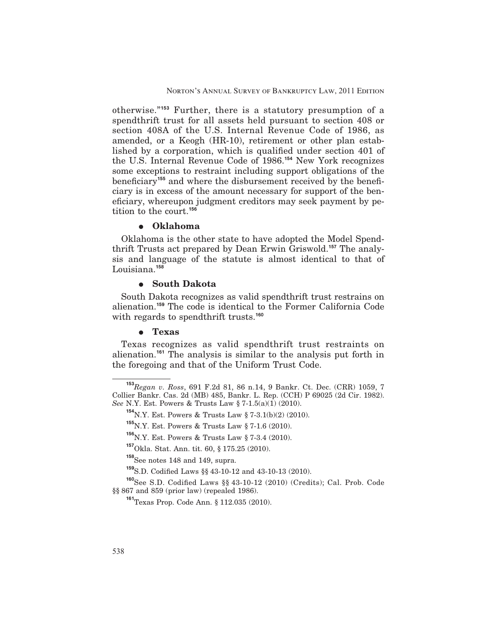otherwise."**<sup>153</sup>** Further, there is a statutory presumption of a spendthrift trust for all assets held pursuant to section 408 or section 408A of the U.S. Internal Revenue Code of 1986, as amended, or a Keogh (HR-10), retirement or other plan established by a corporation, which is qualified under section 401 of the U.S. Internal Revenue Code of 1986.**<sup>154</sup>** New York recognizes some exceptions to restraint including support obligations of the beneficiary<sup>155</sup> and where the disbursement received by the beneficiary is in excess of the amount necessary for support of the beneficiary, whereupon judgment creditors may seek payment by petition to the court.**<sup>156</sup>**

### E **Oklahoma**

Oklahoma is the other state to have adopted the Model Spendthrift Trusts act prepared by Dean Erwin Griswold.**<sup>157</sup>** The analysis and language of the statute is almost identical to that of Louisiana.**<sup>158</sup>**

#### E **South Dakota**

South Dakota recognizes as valid spendthrift trust restrains on alienation.**<sup>159</sup>** The code is identical to the Former California Code with regards to spendthrift trusts.**<sup>160</sup>**

### E **Texas**

Texas recognizes as valid spendthrift trust restraints on alienation.**<sup>161</sup>** The analysis is similar to the analysis put forth in the foregoing and that of the Uniform Trust Code.

**<sup>153</sup>***Regan v. Ross*, 691 F.2d 81, 86 n.14, 9 Bankr. Ct. Dec. (CRR) 1059, 7 Collier Bankr. Cas. 2d (MB) 485, Bankr. L. Rep. (CCH) P 69025 (2d Cir. 1982). *See* N.Y. Est. Powers & Trusts Law § 7-1.5(a)(1) (2010).

**<sup>154</sup>**N.Y. Est. Powers & Trusts Law § 7-3.1(b)(2) (2010).

**<sup>155</sup>**N.Y. Est. Powers & Trusts Law § 7-1.6 (2010).

**<sup>156</sup>**N.Y. Est. Powers & Trusts Law § 7-3.4 (2010).

**<sup>157</sup>**Okla. Stat. Ann. tit. 60, § 175.25 (2010).

**<sup>158</sup>**See notes 148 and 149, supra.

**<sup>159</sup>**S.D. Codied Laws §§ 43-10-12 and 43-10-13 (2010).

<sup>&</sup>lt;sup>160</sup>See S.D. Codified Laws §§ 43-10-12 (2010) (Credits); Cal. Prob. Code §§ 867 and 859 (prior law) (repealed 1986).

**<sup>161</sup>**Texas Prop. Code Ann. § 112.035 (2010).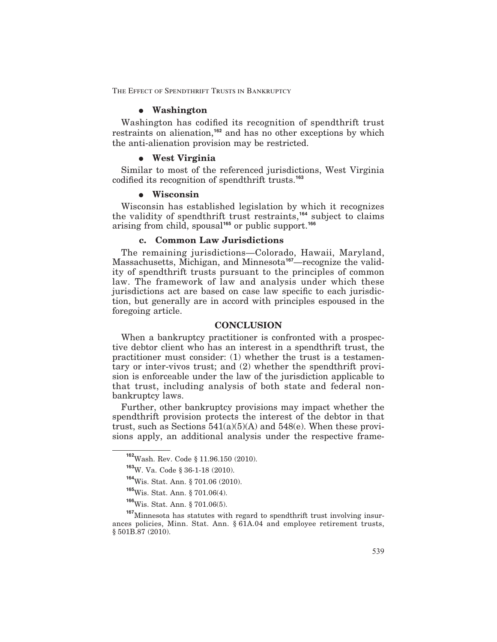### E **Washington**

Washington has codified its recognition of spendthrift trust restraints on alienation,**<sup>162</sup>** and has no other exceptions by which the anti-alienation provision may be restricted.

### E **West Virginia**

Similar to most of the referenced jurisdictions, West Virginia codified its recognition of spendthrift trusts.<sup>163</sup>

### E **Wisconsin**

Wisconsin has established legislation by which it recognizes the validity of spendthrift trust restraints,**<sup>164</sup>** subject to claims arising from child, spousal**<sup>165</sup>** or public support.**<sup>166</sup>**

# **c. Common Law Jurisdictions**

The remaining jurisdictions—Colorado, Hawaii, Maryland, Massachusetts, Michigan, and Minnesota**167**—recognize the validity of spendthrift trusts pursuant to the principles of common law. The framework of law and analysis under which these jurisdictions act are based on case law specific to each jurisdiction, but generally are in accord with principles espoused in the foregoing article.

### **CONCLUSION**

When a bankruptcy practitioner is confronted with a prospective debtor client who has an interest in a spendthrift trust, the practitioner must consider: (1) whether the trust is a testamentary or inter-vivos trust; and (2) whether the spendthrift provision is enforceable under the law of the jurisdiction applicable to that trust, including analysis of both state and federal nonbankruptcy laws.

Further, other bankruptcy provisions may impact whether the spendthrift provision protects the interest of the debtor in that trust, such as Sections  $541(a)(5)(A)$  and  $548(e)$ . When these provisions apply, an additional analysis under the respective frame-

**<sup>162</sup>**Wash. Rev. Code § 11.96.150 (2010).

**<sup>163</sup>**W. Va. Code § 36-1-18 (2010).

**<sup>164</sup>**Wis. Stat. Ann. § 701.06 (2010).

**<sup>165</sup>**Wis. Stat. Ann. § 701.06(4).

**<sup>166</sup>**Wis. Stat. Ann. § 701.06(5).

**<sup>167</sup>**Minnesota has statutes with regard to spendthrift trust involving insurances policies, Minn. Stat. Ann. § 61A.04 and employee retirement trusts, § 501B.87 (2010).